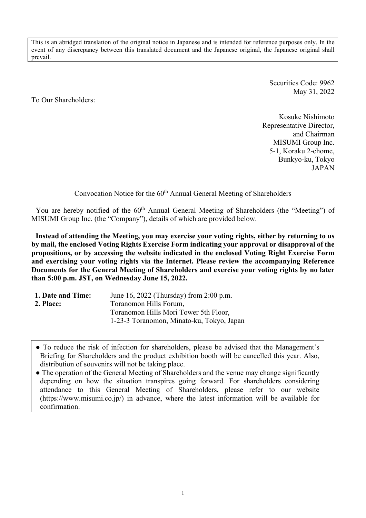This is an abridged translation of the original notice in Japanese and is intended for reference purposes only. In the event of any discrepancy between this translated document and the Japanese original, the Japanese original shall prevail.

> Securities Code: 9962 May 31, 2022

To Our Shareholders:

Kosuke Nishimoto Representative Director, and Chairman MISUMI Group Inc. 5-1, Koraku 2-chome, Bunkyo-ku, Tokyo JAPAN

# Convocation Notice for the 60<sup>th</sup> Annual General Meeting of Shareholders

You are hereby notified of the 60<sup>th</sup> Annual General Meeting of Shareholders (the "Meeting") of MISUMI Group Inc. (the "Company"), details of which are provided below.

**Instead of attending the Meeting, you may exercise your voting rights, either by returning to us by mail, the enclosed Voting Rights Exercise Form indicating your approval or disapproval of the propositions, or by accessing the website indicated in the enclosed Voting Right Exercise Form and exercising your voting rights via the Internet. Please review the accompanying Reference Documents for the General Meeting of Shareholders and exercise your voting rights by no later than 5:00 p.m. JST, on Wednesday June 15, 2022.**

| 1. Date and Time: | June 16, 2022 (Thursday) from 2:00 p.m.   |
|-------------------|-------------------------------------------|
| 2. Place:         | Toranomon Hills Forum,                    |
|                   | Toranomon Hills Mori Tower 5th Floor,     |
|                   | 1-23-3 Toranomon, Minato-ku, Tokyo, Japan |
|                   |                                           |

● To reduce the risk of infection for shareholders, please be advised that the Management's Briefing for Shareholders and the product exhibition booth will be cancelled this year. Also, distribution of souvenirs will not be taking place.

• The operation of the General Meeting of Shareholders and the venue may change significantly depending on how the situation transpires going forward. For shareholders considering attendance to this General Meeting of Shareholders, please refer to our website (https://www.misumi.co.jp/) in advance, where the latest information will be available for confirmation.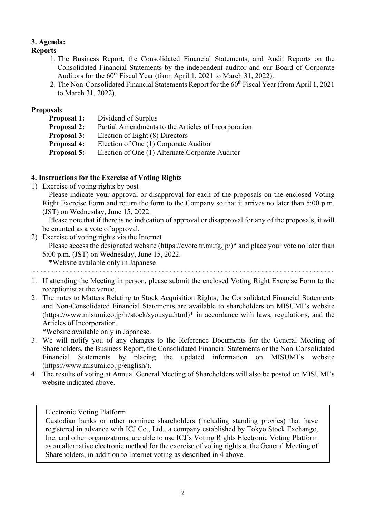# **3. Agenda:**

## **Reports**

- 1. The Business Report, the Consolidated Financial Statements, and Audit Reports on the Consolidated Financial Statements by the independent auditor and our Board of Corporate Auditors for the  $60<sup>th</sup>$  Fiscal Year (from April 1, 2021 to March 31, 2022).
- 2. The Non-Consolidated Financial Statements Report for the 60<sup>th</sup> Fiscal Year (from April 1, 2021) to March 31, 2022).

## **Proposals**

- **Proposal 1:** Dividend of Surplus
- **Proposal 2:** Partial Amendments to the Articles of Incorporation
- **Proposal 3:** Election of Eight (8) Directors
- **Proposal 4:** Election of One (1) Corporate Auditor
- **Proposal 5:** Election of One (1) Alternate Corporate Auditor

## **4. Instructions for the Exercise of Voting Rights**

1) Exercise of voting rights by post

Please indicate your approval or disapproval for each of the proposals on the enclosed Voting Right Exercise Form and return the form to the Company so that it arrives no later than 5:00 p.m. (JST) on Wednesday, June 15, 2022.

Please note that if there is no indication of approval or disapproval for any of the proposals, it will be counted as a vote of approval.

2) Exercise of voting rights via the Internet

Please access the designated website (https://evote.tr.mufg.jp/)\* and place your vote no later than 5:00 p.m. (JST) on Wednesday, June 15, 2022.

\*Website available only in Japanese

1. If attending the Meeting in person, please submit the enclosed Voting Right Exercise Form to the receptionist at the venue.

〰〰〰〰〰〰〰〰〰〰〰〰〰〰〰〰〰〰〰〰〰〰〰〰〰〰〰〰〰〰〰〰〰〰〰〰〰〰〰〰〰

2. The notes to Matters Relating to Stock Acquisition Rights, the Consolidated Financial Statements and Non-Consolidated Financial Statements are available to shareholders on MISUMI's website (https://www.misumi.co.jp/ir/stock/syousyu.html)\* in accordance with laws, regulations, and the Articles of Incorporation.

\*Website available only in Japanese.

- 3. We will notify you of any changes to the Reference Documents for the General Meeting of Shareholders, the Business Report, the Consolidated Financial Statements or the Non-Consolidated Financial Statements by placing the updated information on MISUMI's website (https://www.misumi.co.jp/english/).
- 4. The results of voting at Annual General Meeting of Shareholders will also be posted on MISUMI's website indicated above.

## Electronic Voting Platform

Custodian banks or other nominee shareholders (including standing proxies) that have registered in advance with ICJ Co., Ltd., a company established by Tokyo Stock Exchange, Inc. and other organizations, are able to use ICJ's Voting Rights Electronic Voting Platform as an alternative electronic method for the exercise of voting rights at the General Meeting of Shareholders, in addition to Internet voting as described in 4 above.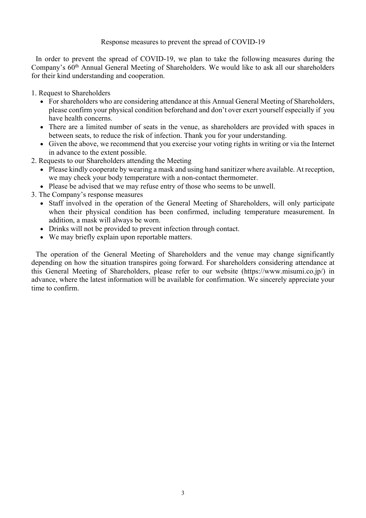## Response measures to prevent the spread of COVID-19

In order to prevent the spread of COVID-19, we plan to take the following measures during the Company's 60<sup>th</sup> Annual General Meeting of Shareholders. We would like to ask all our shareholders for their kind understanding and cooperation.

1. Request to Shareholders

- For shareholders who are considering attendance at this Annual General Meeting of Shareholders, please confirm your physical condition beforehand and don't over exert yourself especially if you have health concerns.
- There are a limited number of seats in the venue, as shareholders are provided with spaces in between seats, to reduce the risk of infection. Thank you for your understanding.
- Given the above, we recommend that you exercise your voting rights in writing or via the Internet in advance to the extent possible.
- 2. Requests to our Shareholders attending the Meeting
	- Please kindly cooperate by wearing a mask and using hand sanitizer where available. At reception, we may check your body temperature with a non-contact thermometer.
	- Please be advised that we may refuse entry of those who seems to be unwell.
- 3. The Company's response measures
	- Staff involved in the operation of the General Meeting of Shareholders, will only participate when their physical condition has been confirmed, including temperature measurement. In addition, a mask will always be worn.
	- Drinks will not be provided to prevent infection through contact.
	- We may briefly explain upon reportable matters.

The operation of the General Meeting of Shareholders and the venue may change significantly depending on how the situation transpires going forward. For shareholders considering attendance at this General Meeting of Shareholders, please refer to our website (https://www.misumi.co.jp/) in advance, where the latest information will be available for confirmation. We sincerely appreciate your time to confirm.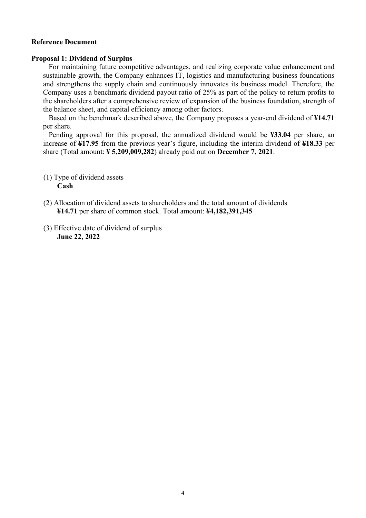#### **Reference Document**

#### **Proposal 1: Dividend of Surplus**

For maintaining future competitive advantages, and realizing corporate value enhancement and sustainable growth, the Company enhances IT, logistics and manufacturing business foundations and strengthens the supply chain and continuously innovates its business model. Therefore, the Company uses a benchmark dividend payout ratio of 25% as part of the policy to return profits to the shareholders after a comprehensive review of expansion of the business foundation, strength of the balance sheet, and capital efficiency among other factors.

Based on the benchmark described above, the Company proposes a year-end dividend of **¥14.71** per share.

Pending approval for this proposal, the annualized dividend would be **¥33.04** per share, an increase of **¥17.95** from the previous year's figure, including the interim dividend of **¥18.33** per share (Total amount: **¥ 5,209,009,282**) already paid out on **December 7, 2021**.

- (1) Type of dividend assets **Cash**
- (2) Allocation of dividend assets to shareholders and the total amount of dividends **¥14.71** per share of common stock. Total amount: **¥4,182,391,345**
- (3) Effective date of dividend of surplus **June 22, 2022**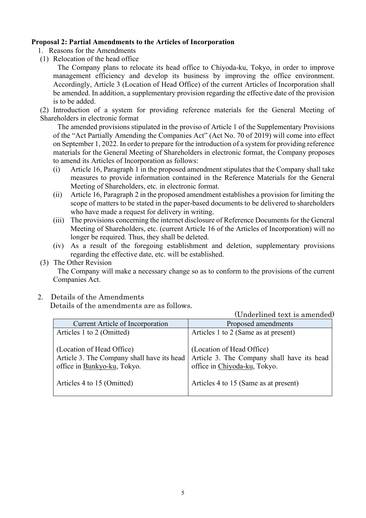## **Proposal 2: Partial Amendments to the Articles of Incorporation**

- 1. Reasons for the Amendments
- (1) Relocation of the head office

The Company plans to relocate its head office to Chiyoda-ku, Tokyo, in order to improve management efficiency and develop its business by improving the office environment. Accordingly, Article 3 (Location of Head Office) of the current Articles of Incorporation shall be amended. In addition, a supplementary provision regarding the effective date of the provision is to be added.

(2) Introduction of a system for providing reference materials for the General Meeting of Shareholders in electronic format

The amended provisions stipulated in the proviso of Article 1 of the Supplementary Provisions of the "Act Partially Amending the Companies Act" (Act No. 70 of 2019) will come into effect on September 1, 2022. In order to prepare for the introduction of a system for providing reference materials for the General Meeting of Shareholders in electronic format, the Company proposes to amend its Articles of Incorporation as follows:

- (i) Article 16, Paragraph 1 in the proposed amendment stipulates that the Company shall take measures to provide information contained in the Reference Materials for the General Meeting of Shareholders, etc. in electronic format.
- (ii) Article 16, Paragraph 2 in the proposed amendment establishes a provision for limiting the scope of matters to be stated in the paper-based documents to be delivered to shareholders who have made a request for delivery in writing.
- (iii) The provisions concerning the internet disclosure of Reference Documents for the General Meeting of Shareholders, etc. (current Article 16 of the Articles of Incorporation) will no longer be required. Thus, they shall be deleted.
- (iv) As a result of the foregoing establishment and deletion, supplementary provisions regarding the effective date, etc. will be established.
- (3) The Other Revision

The Company will make a necessary change so as to conform to the provisions of the current Companies Act.

2. Details of the Amendments

Details of the amendments are as follows.

(Underlined text is amended)

| <b>Current Article of Incorporation</b>                                                                | Proposed amendments                                                                                     |
|--------------------------------------------------------------------------------------------------------|---------------------------------------------------------------------------------------------------------|
| Articles 1 to 2 (Omitted)                                                                              | Articles 1 to 2 (Same as at present)                                                                    |
| (Location of Head Office)<br>Article 3. The Company shall have its head<br>office in Bunkyo-ku, Tokyo. | (Location of Head Office)<br>Article 3. The Company shall have its head<br>office in Chiyoda-ku, Tokyo. |
| Articles 4 to 15 (Omitted)                                                                             | Articles 4 to 15 (Same as at present)                                                                   |
|                                                                                                        |                                                                                                         |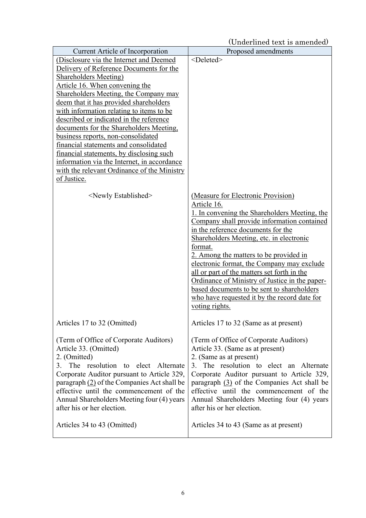(Underlined text is amended)

| <b>Current Article of Incorporation</b>                                     | Proposed amendments                                                                           |
|-----------------------------------------------------------------------------|-----------------------------------------------------------------------------------------------|
| (Disclosure via the Internet and Deemed                                     | <deleted></deleted>                                                                           |
| Delivery of Reference Documents for the                                     |                                                                                               |
| <b>Shareholders Meeting</b> )                                               |                                                                                               |
| Article 16. When convening the                                              |                                                                                               |
| Shareholders Meeting, the Company may                                       |                                                                                               |
| deem that it has provided shareholders                                      |                                                                                               |
| with information relating to items to be                                    |                                                                                               |
| described or indicated in the reference                                     |                                                                                               |
| documents for the Shareholders Meeting,                                     |                                                                                               |
| business reports, non-consolidated<br>financial statements and consolidated |                                                                                               |
| financial statements, by disclosing such                                    |                                                                                               |
| information via the Internet, in accordance                                 |                                                                                               |
| with the relevant Ordinance of the Ministry                                 |                                                                                               |
| of Justice.                                                                 |                                                                                               |
|                                                                             |                                                                                               |
| <newly established=""></newly>                                              | (Measure for Electronic Provision)                                                            |
|                                                                             | Article 16.                                                                                   |
|                                                                             | 1. In convening the Shareholders Meeting, the                                                 |
|                                                                             | Company shall provide information contained                                                   |
|                                                                             | in the reference documents for the                                                            |
|                                                                             | Shareholders Meeting, etc. in electronic                                                      |
|                                                                             | format.                                                                                       |
|                                                                             | 2. Among the matters to be provided in                                                        |
|                                                                             | electronic format, the Company may exclude                                                    |
|                                                                             | all or part of the matters set forth in the<br>Ordinance of Ministry of Justice in the paper- |
|                                                                             | based documents to be sent to shareholders                                                    |
|                                                                             | who have requested it by the record date for                                                  |
|                                                                             | <u>voting rights.</u>                                                                         |
|                                                                             |                                                                                               |
| Articles 17 to 32 (Omitted)                                                 | Articles 17 to 32 (Same as at present)                                                        |
| (Term of Office of Corporate Auditors)                                      | (Term of Office of Corporate Auditors)                                                        |
| Article 33. (Omitted)                                                       | Article 33. (Same as at present)                                                              |
| 2. (Omitted)                                                                | 2. (Same as at present)                                                                       |
| 3. The resolution to elect Alternate                                        | The resolution to elect an Alternate<br>3.                                                    |
| Corporate Auditor pursuant to Article 329,                                  | Corporate Auditor pursuant to Article 329,                                                    |
| paragraph (2) of the Companies Act shall be                                 | paragraph (3) of the Companies Act shall be                                                   |
| effective until the commencement of the                                     | effective until the commencement of the                                                       |
| Annual Shareholders Meeting four (4) years                                  | Annual Shareholders Meeting four (4) years                                                    |
| after his or her election.                                                  | after his or her election.                                                                    |
| Articles 34 to 43 (Omitted)                                                 |                                                                                               |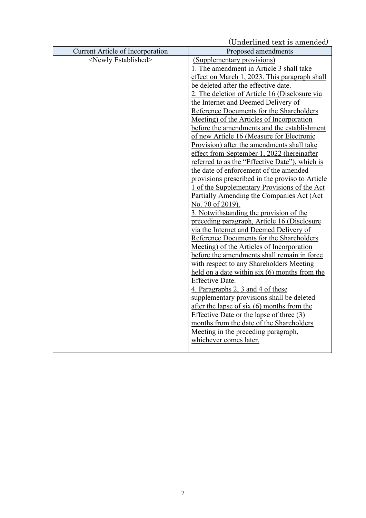(Underlined text is amended)

|                                  | Ondermied text is amended                       |
|----------------------------------|-------------------------------------------------|
| Current Article of Incorporation | Proposed amendments                             |
| <newly established=""></newly>   | (Supplementary provisions)                      |
|                                  | 1. The amendment in Article 3 shall take        |
|                                  | effect on March 1, 2023. This paragraph shall   |
|                                  | be deleted after the effective date.            |
|                                  | 2. The deletion of Article 16 (Disclosure via   |
|                                  | the Internet and Deemed Delivery of             |
|                                  | Reference Documents for the Shareholders        |
|                                  | Meeting) of the Articles of Incorporation       |
|                                  | before the amendments and the establishment     |
|                                  | of new Article 16 (Measure for Electronic       |
|                                  | Provision) after the amendments shall take      |
|                                  | effect from September 1, 2022 (hereinafter      |
|                                  | referred to as the "Effective Date"), which is  |
|                                  | the date of enforcement of the amended          |
|                                  | provisions prescribed in the proviso to Article |
|                                  | 1 of the Supplementary Provisions of the Act    |
|                                  | Partially Amending the Companies Act (Act       |
|                                  | No. 70 of 2019).                                |
|                                  | 3. Notwithstanding the provision of the         |
|                                  | preceding paragraph, Article 16 (Disclosure     |
|                                  | via the Internet and Deemed Delivery of         |
|                                  | Reference Documents for the Shareholders        |
|                                  | Meeting) of the Articles of Incorporation       |
|                                  | before the amendments shall remain in force     |
|                                  | with respect to any Shareholders Meeting        |
|                                  | held on a date within $six(6)$ months from the  |
|                                  | Effective Date.                                 |
|                                  | 4. Paragraphs 2, 3 and 4 of these               |
|                                  | supplementary provisions shall be deleted       |
|                                  | after the lapse of six $(6)$ months from the    |
|                                  | Effective Date or the lapse of three (3)        |
|                                  | months from the date of the Shareholders        |
|                                  | Meeting in the preceding paragraph,             |
|                                  | whichever comes later.                          |
|                                  |                                                 |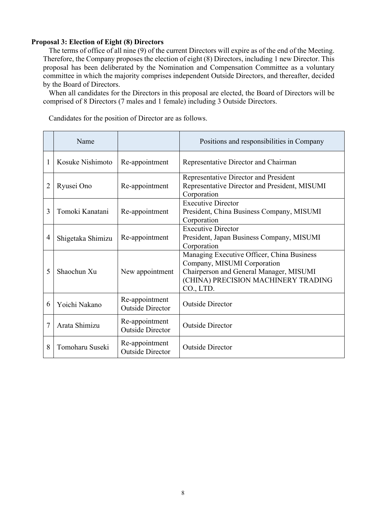## **Proposal 3: Election of Eight (8) Directors**

The terms of office of all nine (9) of the current Directors will expire as of the end of the Meeting. Therefore, the Company proposes the election of eight (8) Directors, including 1 new Director. This proposal has been deliberated by the Nomination and Compensation Committee as a voluntary committee in which the majority comprises independent Outside Directors, and thereafter, decided by the Board of Directors.

When all candidates for the Directors in this proposal are elected, the Board of Directors will be comprised of 8 Directors (7 males and 1 female) including 3 Outside Directors.

Candidates for the position of Director are as follows.

|   | Name              |                                           | Positions and responsibilities in Company                                                                                                                                |  |  |
|---|-------------------|-------------------------------------------|--------------------------------------------------------------------------------------------------------------------------------------------------------------------------|--|--|
| 1 | Kosuke Nishimoto  | Re-appointment                            | Representative Director and Chairman                                                                                                                                     |  |  |
| 2 | Ryusei Ono        | Re-appointment                            | Representative Director and President<br>Representative Director and President, MISUMI<br>Corporation                                                                    |  |  |
| 3 | Tomoki Kanatani   | Re-appointment                            | <b>Executive Director</b><br>President, China Business Company, MISUMI<br>Corporation                                                                                    |  |  |
| 4 | Shigetaka Shimizu | Re-appointment                            | <b>Executive Director</b><br>President, Japan Business Company, MISUMI<br>Corporation                                                                                    |  |  |
| 5 | Shaochun Xu       | New appointment                           | Managing Executive Officer, China Business<br>Company, MISUMI Corporation<br>Chairperson and General Manager, MISUMI<br>(CHINA) PRECISION MACHINERY TRADING<br>CO., LTD. |  |  |
| 6 | Yoichi Nakano     | Re-appointment<br><b>Outside Director</b> | <b>Outside Director</b>                                                                                                                                                  |  |  |
| 7 | Arata Shimizu     | Re-appointment<br><b>Outside Director</b> | <b>Outside Director</b>                                                                                                                                                  |  |  |
| 8 | Tomoharu Suseki   | Re-appointment<br><b>Outside Director</b> | <b>Outside Director</b>                                                                                                                                                  |  |  |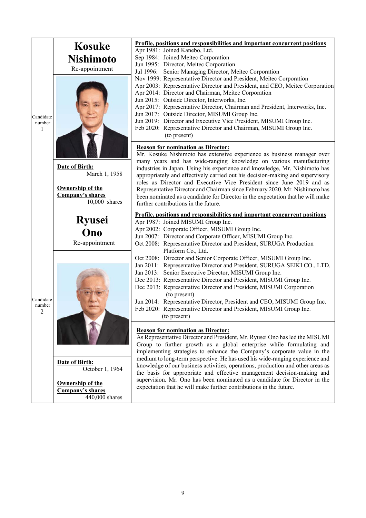|                                       | <b>Kosuke</b><br><b>Nishimoto</b><br>Re-appointment                                             | Profile, positions and responsibilities and important concurrent positions<br>Apr 1981: Joined Kanebo, Ltd.<br>Sep 1984: Joined Meitec Corporation<br>Jun 1995: Director, Meitec Corporation<br>Jul 1996: Senior Managing Director, Meitec Corporation                                                                                                                                                                                                                                                                                                                                                                                                                       |  |  |  |  |
|---------------------------------------|-------------------------------------------------------------------------------------------------|------------------------------------------------------------------------------------------------------------------------------------------------------------------------------------------------------------------------------------------------------------------------------------------------------------------------------------------------------------------------------------------------------------------------------------------------------------------------------------------------------------------------------------------------------------------------------------------------------------------------------------------------------------------------------|--|--|--|--|
| Candidate<br>number<br>1              |                                                                                                 | Nov 1999: Representative Director and President, Meitec Corporation<br>Apr 2003: Representative Director and President, and CEO, Meitec Corporation<br>Apr 2014: Director and Chairman, Meitec Corporation<br>Jun 2015: Outside Director, Interworks, Inc.<br>Apr 2017: Representative Director, Chairman and President, Interworks, Inc.<br>Jun 2017: Outside Director, MISUMI Group Inc.<br>Jun 2019: Director and Executive Vice President, MISUMI Group Inc.<br>Feb 2020: Representative Director and Chairman, MISUMI Group Inc.<br>(to present)                                                                                                                        |  |  |  |  |
|                                       | Date of Birth:<br>March 1, 1958<br><b>Ownership of the</b><br>Company's shares<br>10,000 shares | <b>Reason for nomination as Director:</b><br>Mr. Kosuke Nishimoto has extensive experience as business manager over<br>many years and has wide-ranging knowledge on various manufacturing<br>industries in Japan. Using his experience and knowledge, Mr. Nishimoto has<br>appropriately and effectively carried out his decision-making and supervisory<br>roles as Director and Executive Vice President since June 2019 and as<br>Representative Director and Chairman since February 2020. Mr. Nishimoto has<br>been nominated as a candidate for Director in the expectation that he will make<br>further contributions in the future.                                  |  |  |  |  |
|                                       | <b>Ryusei</b><br>Ono<br>Re-appointment                                                          | Profile, positions and responsibilities and important concurrent positions<br>Apr 1987: Joined MISUMI Group Inc.<br>Apr 2002: Corporate Officer, MISUMI Group Inc.<br>Jun 2007: Director and Corporate Officer, MISUMI Group Inc.<br>Oct 2008: Representative Director and President, SURUGA Production<br>Platform Co., Ltd.                                                                                                                                                                                                                                                                                                                                                |  |  |  |  |
| Candidate<br>number<br>$\overline{c}$ |                                                                                                 | Oct 2008: Director and Senior Corporate Officer, MISUMI Group Inc.<br>Jan 2011: Representative Director and President, SURUGA SEIKI CO., LTD.<br>Jan 2013: Senior Executive Director, MISUMI Group Inc.<br>Dec 2013: Representative Director and President, MISUMI Group Inc.<br>Dec 2013: Representative Director and President, MISUMI Corporation<br>(to present)<br>Jun 2014: Representative Director, President and CEO, MISUMI Group Inc.<br>Feb 2020: Representative Director and President, MISUMI Group Inc.<br>(to present)                                                                                                                                        |  |  |  |  |
|                                       | Date of Birth:<br>October 1, 1964<br>Ownership of the<br>Company's shares<br>440,000 shares     | <b>Reason for nomination as Director:</b><br>As Representative Director and President, Mr. Ryusei Ono has led the MISUMI<br>Group to further growth as a global enterprise while formulating and<br>implementing strategies to enhance the Company's corporate value in the<br>medium to long-term perspective. He has used his wide-ranging experience and<br>knowledge of our business activities, operations, production and other areas as<br>the basis for appropriate and effective management decision-making and<br>supervision. Mr. Ono has been nominated as a candidate for Director in the<br>expectation that he will make further contributions in the future. |  |  |  |  |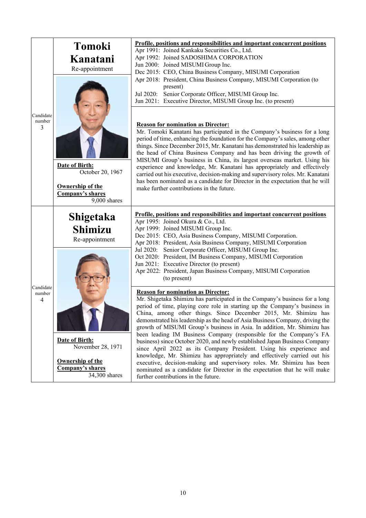| Candidate<br>number<br>3              | <b>Tomoki</b><br>Kanatani<br>Re-appointment                                                         | Profile, positions and responsibilities and important concurrent positions<br>Apr 1991: Joined Kankaku Securities Co., Ltd.<br>Apr 1992: Joined SADOSHIMA CORPORATION<br>Jun 2000: Joined MISUMI Group Inc.<br>Dec 2015: CEO, China Business Company, MISUMI Corporation<br>Apr 2018: President, China Business Company, MISUMI Corporation (to<br>present)<br>Senior Corporate Officer, MISUMI Group Inc.<br>Jul 2020:<br>Jun 2021: Executive Director, MISUMI Group Inc. (to present)                                                                                                                                                                                                                                                                                                                                                                                                                                                      |
|---------------------------------------|-----------------------------------------------------------------------------------------------------|----------------------------------------------------------------------------------------------------------------------------------------------------------------------------------------------------------------------------------------------------------------------------------------------------------------------------------------------------------------------------------------------------------------------------------------------------------------------------------------------------------------------------------------------------------------------------------------------------------------------------------------------------------------------------------------------------------------------------------------------------------------------------------------------------------------------------------------------------------------------------------------------------------------------------------------------|
|                                       | Date of Birth:<br>October 20, 1967<br><b>Ownership of the</b><br>Company's shares<br>9,000 shares   | <b>Reason for nomination as Director:</b><br>Mr. Tomoki Kanatani has participated in the Company's business for a long<br>period of time, enhancing the foundation for the Company's sales, among other<br>things. Since December 2015, Mr. Kanatani has demonstrated his leadership as<br>the head of China Business Company and has been driving the growth of<br>MISUMI Group's business in China, its largest overseas market. Using his<br>experience and knowledge, Mr. Kanatani has appropriately and effectively<br>carried out his executive, decision-making and supervisory roles. Mr. Kanatani<br>has been nominated as a candidate for Director in the expectation that he will<br>make further contributions in the future.                                                                                                                                                                                                    |
| Candidate<br>number<br>$\overline{4}$ | Shigetaka<br><b>Shimizu</b><br>Re-appointment                                                       | Profile, positions and responsibilities and important concurrent positions<br>Apr 1995: Joined Okura & Co., Ltd.<br>Apr 1999: Joined MISUMI Group Inc.<br>Dec 2015: CEO, Asia Business Company, MISUMI Corporation.<br>Apr 2018: President, Asia Business Company, MISUMI Corporation<br>Jul 2020: Senior Corporate Officer, MISUMI Group Inc.<br>Oct 2020: President, IM Business Company, MISUMI Corporation                                                                                                                                                                                                                                                                                                                                                                                                                                                                                                                               |
|                                       |                                                                                                     | Jun 2021: Executive Director (to present)<br>Apr 2022: President, Japan Business Company, MISUMI Corporation<br>(to present)                                                                                                                                                                                                                                                                                                                                                                                                                                                                                                                                                                                                                                                                                                                                                                                                                 |
|                                       | Date of Birth:<br>November 28, 1971<br><b>Ownership of the</b><br>Company's shares<br>34,300 shares | <b>Reason for nomination as Director:</b><br>Mr. Shigetaka Shimizu has participated in the Company's business for a long<br>period of time, playing core role in starting up the Company's business in<br>China, among other things. Since December 2015, Mr. Shimizu has<br>demonstrated his leadership as the head of Asia Business Company, driving the<br>growth of MISUMI Group's business in Asia. In addition, Mr. Shimizu has<br>been leading IM Business Company (responsible for the Company's FA<br>business) since October 2020, and newly established Japan Business Company<br>since April 2022 as its Company President. Using his experience and<br>knowledge, Mr. Shimizu has appropriately and effectively carried out his<br>executive, decision-making and supervisory roles. Mr. Shimizu has been<br>nominated as a candidate for Director in the expectation that he will make<br>further contributions in the future. |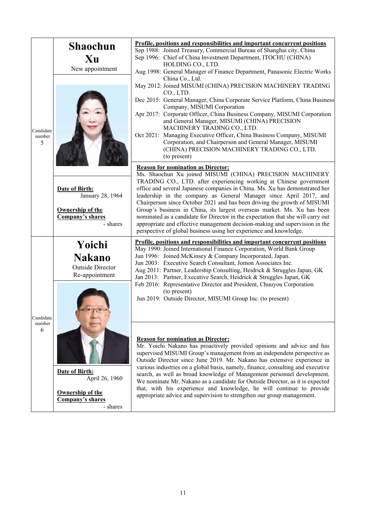|                          | <b>Shaochun</b>                                                                                    | Profile, positions and responsibilities and important concurrent positions<br>Sep 1988: Joined Treasury, Commercial Bureau of Shanghai city, China                                                                                                                                                                                                                                                                                                                                                                                                                                                                                                                                   |  |  |  |
|--------------------------|----------------------------------------------------------------------------------------------------|--------------------------------------------------------------------------------------------------------------------------------------------------------------------------------------------------------------------------------------------------------------------------------------------------------------------------------------------------------------------------------------------------------------------------------------------------------------------------------------------------------------------------------------------------------------------------------------------------------------------------------------------------------------------------------------|--|--|--|
|                          | Xu                                                                                                 | Sep 1996: Chief of China Investment Department, ITOCHU (CHINA)<br>HOLDING CO., LTD.                                                                                                                                                                                                                                                                                                                                                                                                                                                                                                                                                                                                  |  |  |  |
|                          | New appointment                                                                                    | Aug 1998: General Manager of Finance Department, Panasonic Electric Works<br>China Co., Ltd.                                                                                                                                                                                                                                                                                                                                                                                                                                                                                                                                                                                         |  |  |  |
| Candidate<br>number<br>5 |                                                                                                    | May 2012: Joined MISUMI (CHINA) PRECISION MACHINERY TRADING<br>CO., LTD.<br>Dec 2015: General Manager, China Corporate Service Platform, China Business<br>Company, MISUMI Corporation<br>Apr 2017: Corporate Officer, China Business Company, MISUMI Corporation<br>and General Manager, MISUMI (CHINA) PRECISION<br>MACHINERY TRADING CO., LTD.<br>Oct 2021: Managing Executive Officer, China Business Company, MISUMI<br>Corporation, and Chairperson and General Manager, MISUMI<br>(CHINA) PRECISION MACHINERY TRADING CO., LTD.<br>(to present)<br><b>Reason for nomination as Director:</b>                                                                                  |  |  |  |
|                          | Date of Birth:<br>January 28, 1964<br><b>Ownership of the</b><br>Company's shares<br>- shares      | Ms. Shaochun Xu joined MISUMI (CHINA) PRECISION MACHINERY<br>TRADING CO., LTD. after experiencing working at Chinese government<br>office and several Japanese companies in China. Ms. Xu has demonstrated her<br>leadership in the company as General Manager since April 2017, and<br>Chairperson since October 2021 and has been driving the growth of MISUMI<br>Group's business in China, its largest overseas market. Ms. Xu has been<br>nominated as a candidate for Director in the expectation that she will carry out<br>appropriate and effective management decision-making and supervision in the<br>perspective of global business using her experience and knowledge. |  |  |  |
|                          | Yoichi<br><b>Nakano</b><br><b>Outside Director</b><br>Re-appointment                               | Profile, positions and responsibilities and important concurrent positions<br>May 1990: Joined International Finance Corporation, World Bank Group<br>Jun 1996: Joined McKinsey & Company Incorporated, Japan.<br>Jun 2003: Executive Search Consultant, Jomon Associates Inc.<br>Aug 2011: Partner, Leadership Consulting, Heidrick & Struggles Japan, GK<br>Jan 2013: Partner, Executive Search, Heidrick & Struggles Japan, GK<br>Feb 2016: Representative Director and President, Chuuyou Corporation                                                                                                                                                                            |  |  |  |
| Candidate                |                                                                                                    | (to present)<br>Jun 2019: Outside Director, MISUMI Group Inc. (to present)                                                                                                                                                                                                                                                                                                                                                                                                                                                                                                                                                                                                           |  |  |  |
| number<br>6              |                                                                                                    | <b>Reason for nomination as Director:</b><br>Mr. Yoichi Nakano has proactively provided opinions and advice and has<br>supervised MISUMI Group's management from an independent perspective as<br>Outside Director since June 2019. Mr. Nakano has extensive experience in<br>various industries on a global basis, namely, finance, consulting and executive                                                                                                                                                                                                                                                                                                                        |  |  |  |
|                          | Date of Birth:<br>April 26, 1960<br><b>Ownership of the</b><br><b>Company's shares</b><br>- shares | search, as well as broad knowledge of Management personnel development.<br>We nominate Mr. Nakano as a candidate for Outside Director, as it is expected<br>that, with his experience and knowledge, he will continue to provide<br>appropriate advice and supervision to strengthen our group management.                                                                                                                                                                                                                                                                                                                                                                           |  |  |  |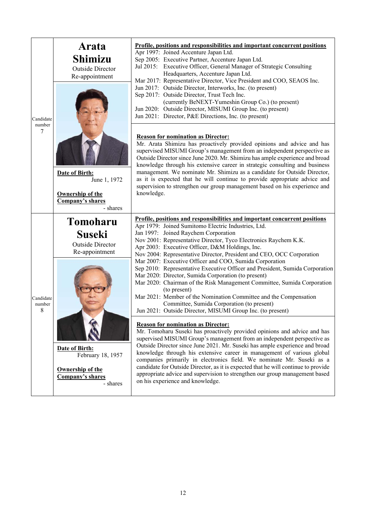|                          | Arata<br><b>Shimizu</b><br><b>Outside Director</b><br>Re-appointment                                  | Profile, positions and responsibilities and important concurrent positions<br>Apr 1997: Joined Accenture Japan Ltd.<br>Sep 2005: Executive Partner, Accenture Japan Ltd.<br>Jul 2015: Executive Officer, General Manager of Strategic Consulting<br>Headquarters, Accenture Japan Ltd.<br>Mar 2017: Representative Director, Vice President and COO, SEAOS Inc.<br>Jun 2017: Outside Director, Interworks, Inc. (to present)<br>Sep 2017: Outside Director, Trust Tech Inc.<br>(currently BeNEXT-Yumeshin Group Co.) (to present)<br>Jun 2020: Outside Director, MISUMI Group Inc. (to present)                                                                                                                                                                                                                                                         |
|--------------------------|-------------------------------------------------------------------------------------------------------|---------------------------------------------------------------------------------------------------------------------------------------------------------------------------------------------------------------------------------------------------------------------------------------------------------------------------------------------------------------------------------------------------------------------------------------------------------------------------------------------------------------------------------------------------------------------------------------------------------------------------------------------------------------------------------------------------------------------------------------------------------------------------------------------------------------------------------------------------------|
| Candidate<br>number<br>7 | <b>Date of Birth:</b><br>June 1, 1972<br>Ownership of the<br>Company's shares<br>- shares             | Jun 2021: Director, P&E Directions, Inc. (to present)<br><b>Reason for nomination as Director:</b><br>Mr. Arata Shimizu has proactively provided opinions and advice and has<br>supervised MISUMI Group's management from an independent perspective as<br>Outside Director since June 2020. Mr. Shimizu has ample experience and broad<br>knowledge through his extensive career in strategic consulting and business<br>management. We nominate Mr. Shimizu as a candidate for Outside Director,<br>as it is expected that he will continue to provide appropriate advice and<br>supervision to strengthen our group management based on his experience and<br>knowledge.                                                                                                                                                                             |
| Candidate<br>number<br>8 | <b>Tomoharu</b><br><b>Suseki</b><br><b>Outside Director</b><br>Re-appointment                         | Profile, positions and responsibilities and important concurrent positions<br>Apr 1979: Joined Sumitomo Electric Industries, Ltd.<br>Jan 1997: Joined Raychem Corporation<br>Nov 2001: Representative Director, Tyco Electronics Raychem K.K.<br>Apr 2003: Executive Officer, D&M Holdings, Inc.<br>Nov 2004: Representative Director, President and CEO, OCC Corporation<br>Mar 2007: Executive Officer and COO, Sumida Corporation<br>Sep 2010: Representative Executive Officer and President, Sumida Corporation<br>Mar 2020: Director, Sumida Corporation (to present)<br>Mar 2020: Chairman of the Risk Management Committee, Sumida Corporation<br>(to present)<br>Mar 2021: Member of the Nomination Committee and the Compensation<br>Committee, Sumida Corporation (to present)<br>Jun 2021: Outside Director, MISUMI Group Inc. (to present) |
|                          | Date of Birth:<br>February 18, 1957<br><b>Ownership of the</b><br><b>Company's shares</b><br>- shares | <b>Reason for nomination as Director:</b><br>Mr. Tomoharu Suseki has proactively provided opinions and advice and has<br>supervised MISUMI Group's management from an independent perspective as<br>Outside Director since June 2021. Mr. Suseki has ample experience and broad<br>knowledge through his extensive career in management of various global<br>companies primarily in electronics field. We nominate Mr. Suseki as a<br>candidate for Outside Director, as it is expected that he will continue to provide<br>appropriate advice and supervision to strengthen our group management based<br>on his experience and knowledge.                                                                                                                                                                                                             |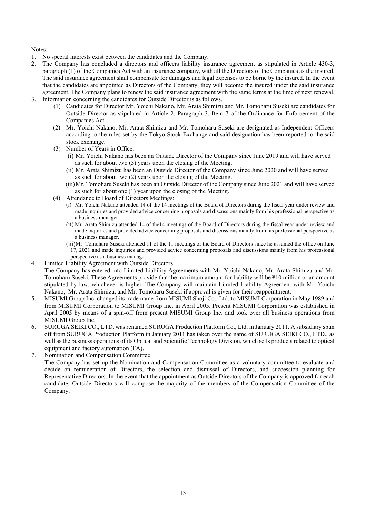Notes:

- 1. No special interests exist between the candidates and the Company.
- 2. The Company has concluded a directors and officers liability insurance agreement as stipulated in Article 430-3, paragraph (1) of the Companies Act with an insurance company, with all the Directors of the Companies as the insured. The said insurance agreement shall compensate for damages and legal expenses to be borne by the insured. In the event that the candidates are appointed as Directors of the Company, they will become the insured under the said insurance agreement. The Company plans to renew the said insurance agreement with the same terms at the time of next renewal. 3. Information concerning the candidates for Outside Director is as follows.
	- (1) Candidates for Director Mr. Yoichi Nakano, Mr. Arata Shimizu and Mr. Tomoharu Suseki are candidates for Outside Director as stipulated in Article 2, Paragraph 3, Item 7 of the Ordinance for Enforcement of the Companies Act.
	- (2) Mr. Yoichi Nakano, Mr. Arata Shimizu and Mr. Tomoharu Suseki are designated as Independent Officers according to the rules set by the Tokyo Stock Exchange and said designation has been reported to the said stock exchange.
	- (3) Number of Years in Office:
		- (i) Mr. Yoichi Nakano has been an Outside Director of the Company since June 2019 and will have served as such for about two  $(3)$  years upon the closing of the Meeting.
		- (ii) Mr. Arata Shimizu has been an Outside Director of the Company since June 2020 and will have served as such for about two (2) years upon the closing of the Meeting.
		- (iii) Mr. Tomoharu Suseki has been an Outside Director of the Company since June 2021 and will have served as such for about one  $(1)$  year upon the closing of the Meeting.
	- (4) Attendance to Board of Directors Meetings:
		- (i) Mr. Yoichi Nakano attended 14 of the 14 meetings of the Board of Directors during the fiscal year under review and made inquiries and provided advice concerning proposals and discussions mainly from his professional perspective as a business manager.
		- (ii) Mr. Arata Shimizu attended 14 of the14 meetings of the Board of Directors during the fiscal year under review and made inquiries and provided advice concerning proposals and discussions mainly from his professional perspective as a business manager.
		- (iii)Mr. Tomoharu Suseki attended 11 of the 11 meetings of the Board of Directors since he assumed the office on June 17, 2021 and made inquiries and provided advice concerning proposals and discussions mainly from his professional perspective as a business manager.
- 4. Limited Liability Agreement with Outside Directors

The Company has entered into Limited Liability Agreements with Mr. Yoichi Nakano, Mr. Arata Shimizu and Mr. Tomoharu Suseki. These Agreements provide that the maximum amount for liability will be ¥10 million or an amount stipulated by law, whichever is higher. The Company will maintain Limited Liability Agreement with Mr. Yoichi Nakano, Mr. Arata Shimizu, and Mr. Tomoharu Suseki if approval is given for their reappointment.

- 5. MISUMI Group Inc. changed its trade name from MISUMI Shoji Co., Ltd. to MISUMI Corporation in May 1989 and from MISUMI Corporation to MISUMI Group Inc. in April 2005. Present MISUMI Corporation was established in April 2005 by means of a spin-off from present MISUMI Group Inc. and took over all business operations from MISUMI Group Inc.
- 6. SURUGA SEIKI CO., LTD. was renamed SURUGA Production Platform Co., Ltd. in January 2011. A subsidiary spun off from SURUGA Production Platform in January 2011 has taken over the name of SURUGA SEIKI CO., LTD., as well as the business operations of its Optical and Scientific Technology Division, which sells products related to optical equipment and factory automation (FA).
- 7. Nomination and Compensation Committee The Company has set up the Nomination and Compensation Committee as a voluntary committee to evaluate and decide on remuneration of Directors, the selection and dismissal of Directors, and succession planning for Representative Directors. In the event that the appointment as Outside Directors of the Company is approved for each candidate, Outside Directors will compose the majority of the members of the Compensation Committee of the Company.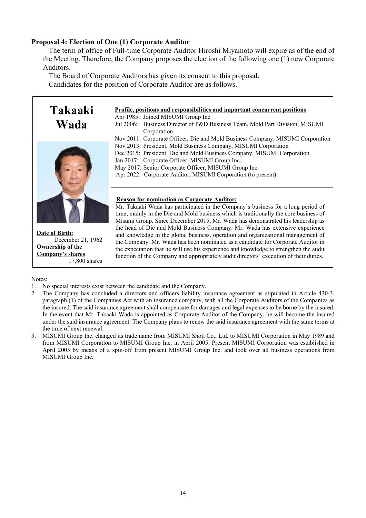## **Proposal 4: Election of One (1) Corporate Auditor**

The term of office of Full-time Corporate Auditor Hiroshi Miyamoto will expire as of the end of the Meeting. Therefore, the Company proposes the election of the following one (1) new Corporate Auditors.

The Board of Corporate Auditors has given its consent to this proposal. Candidates for the position of Corporate Auditor are as follows.



Notes:

1. No special interests exist between the candidate and the Company.

17,800 shares

- 2. The Company has concluded a directors and officers liability insurance agreement as stipulated in Article 430-3, paragraph (1) of the Companies Act with an insurance company, with all the Corporate Auditors of the Companies as the insured. The said insurance agreement shall compensate for damages and legal expenses to be borne by the insured. In the event that Mr. Takaaki Wada is appointed as Corporate Auditor of the Company, he will become the insured under the said insurance agreement. The Company plans to renew the said insurance agreement with the same terms at the time of next renewal.
- 3. MISUMI Group Inc. changed its trade name from MISUMI Shoji Co., Ltd. to MISUMI Corporation in May 1989 and from MISUMI Corporation to MISUMI Group Inc. in April 2005. Present MISUMI Corporation was established in April 2005 by means of a spin-off from present MISUMI Group Inc. and took over all business operations from MISUMI Group Inc.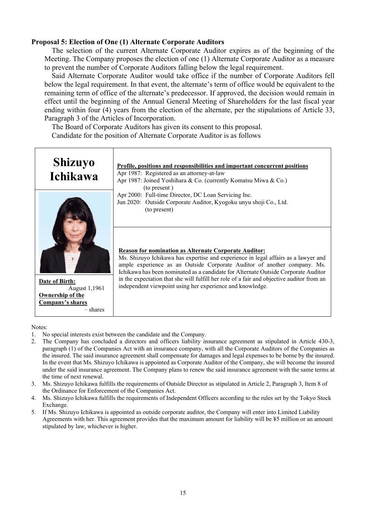## **Proposal 5: Election of One (1) Alternate Corporate Auditors**

The selection of the current Alternate Corporate Auditor expires as of the beginning of the Meeting. The Company proposes the election of one (1) Alternate Corporate Auditor as a measure to prevent the number of Corporate Auditors falling below the legal requirement.

Said Alternate Corporate Auditor would take office if the number of Corporate Auditors fell below the legal requirement. In that event, the alternate's term of office would be equivalent to the remaining term of office of the alternate's predecessor. If approved, the decision would remain in effect until the beginning of the Annual General Meeting of Shareholders for the last fiscal year ending within four (4) years from the election of the alternate, per the stipulations of Article 33, Paragraph 3 of the Articles of Incorporation.

The Board of Corporate Auditors has given its consent to this proposal.

Candidate for the position of Alternate Corporate Auditor is as follows

| <b>Shizuyo</b><br>Ichikawa                       | Profile, positions and responsibilities and important concurrent positions<br>Apr 1987: Registered as an attorney-at-law<br>Apr 1987: Joined Yoshihara & Co. (currently Komatsu Miwa & Co.)                                                                                                                          |
|--------------------------------------------------|----------------------------------------------------------------------------------------------------------------------------------------------------------------------------------------------------------------------------------------------------------------------------------------------------------------------|
|                                                  | (to present)<br>Apr 2000: Full-time Director, DC Loan Servicing Inc.<br>Jun 2020: Outside Corporate Auditor, Kyogoku unyu shoji Co., Ltd.<br>(to present)                                                                                                                                                            |
|                                                  | <b>Reason for nomination as Alternate Corporate Auditor:</b><br>Ms. Shizuyo Ichikawa has expertise and experience in legal affairs as a lawyer and<br>ample experience as an Outside Corporate Auditor of another company. Ms.<br>Ichikawa has been nominated as a candidate for Alternate Outside Corporate Auditor |
| Date of Birth:<br>August 1,1961                  | in the expectation that she will fulfill her role of a fair and objective auditor from an<br>independent viewpoint using her experience and knowledge.                                                                                                                                                               |
| Ownership of the<br>Company's shares<br>– shares |                                                                                                                                                                                                                                                                                                                      |

Notes:

- 1. No special interests exist between the candidate and the Company.
- 2. The Company has concluded a directors and officers liability insurance agreement as stipulated in Article 430-3, paragraph (1) of the Companies Act with an insurance company, with all the Corporate Auditors of the Companies as the insured. The said insurance agreement shall compensate for damages and legal expenses to be borne by the insured. In the event that Ms. Shizuyo Ichikawa is appointed as Corporate Auditor of the Company, she will become the insured under the said insurance agreement. The Company plans to renew the said insurance agreement with the same terms at the time of next renewal.
- 3. Ms. Shizuyo Ichikawa fulfills the requirements of Outside Director as stipulated in Article 2, Paragraph 3, Item 8 of the Ordinance for Enforcement of the Companies Act.
- 4. Ms. Shizuyo Ichikawa fulfills the requirements of Independent Officers according to the rules set by the Tokyo Stock Exchange.
- 5. If Ms. Shizuyo Ichikawa is appointed as outside corporate auditor, the Company will enter into Limited Liability Agreements with her. This agreement provides that the maximum amount for liability will be ¥5 million or an amount stipulated by law, whichever is higher.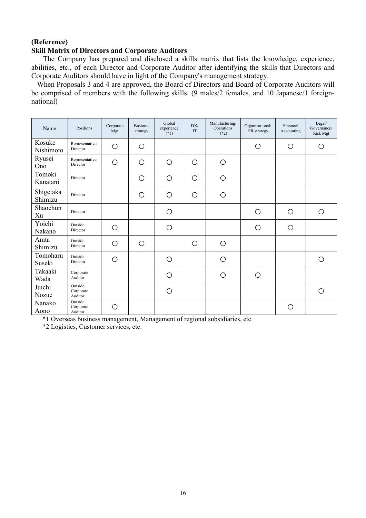## **(Reference) Skill Matrix of Directors and Corporate Auditors**

The Company has prepared and disclosed a skills matrix that lists the knowledge, experience, abilities, etc., of each Director and Corporate Auditor after identifying the skills that Directors and Corporate Auditors should have in light of the Company's management strategy.

When Proposals 3 and 4 are approved, the Board of Directors and Board of Corporate Auditors will be comprised of members with the following skills. (9 males/2 females, and 10 Japanese/1 foreignnational)

| Name                 | Positions                       | Corporate<br>Mgt | <b>Business</b><br>strategy | Global<br>experience<br>$(*1)$ | DX/<br>IT  | Manufacturing/<br>Operations<br>$(*2)$ | Organizational/<br>HR strategy | Finance/<br>Accounting | Legal/<br>Governance/<br>Risk Mgt |
|----------------------|---------------------------------|------------------|-----------------------------|--------------------------------|------------|----------------------------------------|--------------------------------|------------------------|-----------------------------------|
| Kosuke<br>Nishimoto  | Representative<br>Director      | O                | $\circ$                     |                                |            |                                        | $\circ$                        | $\bigcirc$             | Ο                                 |
| Ryusei<br>Ono        | Representative<br>Director      | O                | O                           | $\bigcirc$                     | $\bigcirc$ | O                                      |                                |                        |                                   |
| Tomoki<br>Kanatani   | Director                        |                  | О                           | $\bigcirc$                     | $\circ$    | O                                      |                                |                        |                                   |
| Shigetaka<br>Shimizu | Director                        |                  | ∩                           | O                              | $\circ$    | Ο                                      |                                |                        |                                   |
| Shaochun<br>Xu       | Director                        |                  |                             | $\bigcirc$                     |            |                                        | $\bigcirc$                     | O                      | $\bigcirc$                        |
| Yoichi<br>Nakano     | Outside<br>Director             | O                |                             | O                              |            |                                        | $\circ$                        | $\circ$                |                                   |
| Arata<br>Shimizu     | Outside<br>Director             | O                | $\circ$                     |                                | $\circ$    | $\bigcirc$                             |                                |                        |                                   |
| Tomoharu<br>Suseki   | Outside<br>Director             | О                |                             | O                              |            | O                                      |                                |                        | ∩                                 |
| Takaaki<br>Wada      | Corporate<br>Auditor            |                  |                             | O                              |            | О                                      | O                              |                        |                                   |
| Juichi<br>Nozue      | Outside<br>Corporate<br>Auditor |                  |                             | O                              |            |                                        |                                |                        | ∩                                 |
| Nanako<br>Aono       | Outside<br>Corporate<br>Auditor | ∩                |                             |                                |            |                                        |                                | ∩                      |                                   |

\*1 Overseas business management, Management of regional subsidiaries, etc.

\*2 Logistics, Customer services, etc.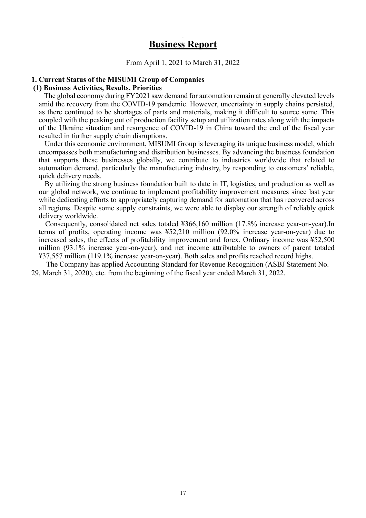# **Business Report**

From April 1, 2021 to March 31, 2022

#### **1. Current Status of the MISUMI Group of Companies**

#### **(1) Business Activities, Results, Priorities**

The global economy during FY2021 saw demand for automation remain at generally elevated levels amid the recovery from the COVID-19 pandemic. However, uncertainty in supply chains persisted, as there continued to be shortages of parts and materials, making it difficult to source some. This coupled with the peaking out of production facility setup and utilization rates along with the impacts of the Ukraine situation and resurgence of COVID-19 in China toward the end of the fiscal year resulted in further supply chain disruptions.

Under this economic environment, MISUMI Group is leveraging its unique business model, which encompasses both manufacturing and distribution businesses. By advancing the business foundation that supports these businesses globally, we contribute to industries worldwide that related to automation demand, particularly the manufacturing industry, by responding to customers' reliable, quick delivery needs.

By utilizing the strong business foundation built to date in IT, logistics, and production as well as our global network, we continue to implement profitability improvement measures since last year while dedicating efforts to appropriately capturing demand for automation that has recovered across all regions. Despite some supply constraints, we were able to display our strength of reliably quick delivery worldwide.

Consequently, consolidated net sales totaled ¥366,160 million (17.8% increase year-on-year).In terms of profits, operating income was ¥52,210 million (92.0% increase year-on-year) due to increased sales, the effects of profitability improvement and forex. Ordinary income was ¥52,500 million (93.1% increase year-on-year), and net income attributable to owners of parent totaled ¥37,557 million (119.1% increase year-on-year). Both sales and profits reached record highs.

The Company has applied Accounting Standard for Revenue Recognition (ASBJ Statement No. 29, March 31, 2020), etc. from the beginning of the fiscal year ended March 31, 2022.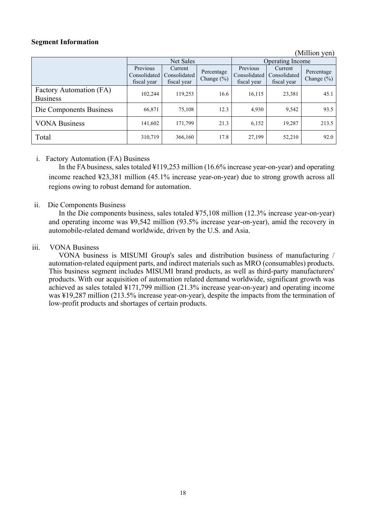## **Segment Information**

| (Million yen) |  |
|---------------|--|
|               |  |

|                                            |                         | Net Sales                                             |                              |                                         | Operating Income                       |                              |  |
|--------------------------------------------|-------------------------|-------------------------------------------------------|------------------------------|-----------------------------------------|----------------------------------------|------------------------------|--|
|                                            | Previous<br>fiscal year | Current<br>Consolidated   Consolidated<br>fiscal year | Percentage<br>Change $(\% )$ | Previous<br>Consolidated<br>fiscal year | Current<br>Consolidated<br>fiscal year | Percentage<br>Change $(\% )$ |  |
| Factory Automation (FA)<br><b>Business</b> | 102,244                 | 119,253                                               | 16.6                         | 16,115                                  | 23,381                                 | 45.1                         |  |
| Die Components Business                    | 66,871                  | 75,108                                                | 12.3                         | 4,930                                   | 9,542                                  | 93.5                         |  |
| <b>VONA Business</b>                       | 141,602                 | 171,799                                               | 21.3                         | 6,152                                   | 19,287                                 | 213.5                        |  |
| Total                                      | 310,719                 | 366,160                                               | 17.8                         | 27,199                                  | 52,210                                 | 92.0                         |  |

#### i. Factory Automation (FA) Business

In the FA business, sales totaled ¥119,253 million (16.6% increase year-on-year) and operating income reached ¥23,381 million (45.1% increase year-on-year) due to strong growth across all regions owing to robust demand for automation.

#### ii. Die Components Business

In the Die components business, sales totaled ¥75,108 million (12.3% increase year-on-year) and operating income was ¥9,542 million (93.5% increase year-on-year), amid the recovery in automobile-related demand worldwide, driven by the U.S. and Asia.

#### iii. VONA Business

VONA business is MISUMI Group's sales and distribution business of manufacturing / automation-related equipment parts, and indirect materials such as MRO (consumables) products. This business segment includes MISUMI brand products, as well as third-party manufacturers' products. With our acquisition of automation related demand worldwide, significant growth was achieved as sales totaled ¥171,799 million (21.3% increase year-on-year) and operating income was ¥19,287 million (213.5% increase year-on-year), despite the impacts from the termination of low-profit products and shortages of certain products.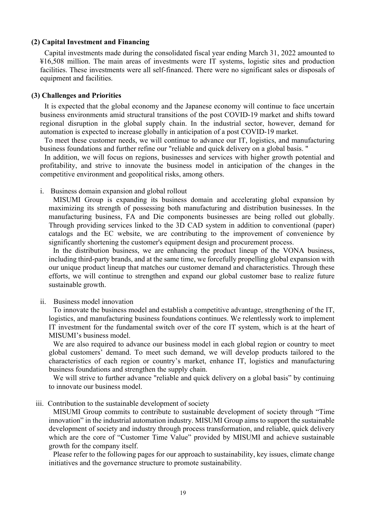#### **(2) Capital Investment and Financing**

Capital investments made during the consolidated fiscal year ending March 31, 2022 amounted to ¥16,508 million. The main areas of investments were IT systems, logistic sites and production facilities. These investments were all self-financed. There were no significant sales or disposals of equipment and facilities.

#### **(3) Challenges and Priorities**

It is expected that the global economy and the Japanese economy will continue to face uncertain business environments amid structural transitions of the post COVID-19 market and shifts toward regional disruption in the global supply chain. In the industrial sector, however, demand for automation is expected to increase globally in anticipation of a post COVID-19 market.

To meet these customer needs, we will continue to advance our IT, logistics, and manufacturing business foundations and further refine our "reliable and quick delivery on a global basis. "

In addition, we will focus on regions, businesses and services with higher growth potential and profitability, and strive to innovate the business model in anticipation of the changes in the competitive environment and geopolitical risks, among others.

i. Business domain expansion and global rollout

MISUMI Group is expanding its business domain and accelerating global expansion by maximizing its strength of possessing both manufacturing and distribution businesses. In the manufacturing business, FA and Die components businesses are being rolled out globally. Through providing services linked to the 3D CAD system in addition to conventional (paper) catalogs and the EC website, we are contributing to the improvement of convenience by significantly shortening the customer's equipment design and procurement process.

In the distribution business, we are enhancing the product lineup of the VONA business, including third-party brands, and at the same time, we forcefully propelling global expansion with our unique product lineup that matches our customer demand and characteristics. Through these efforts, we will continue to strengthen and expand our global customer base to realize future sustainable growth.

#### ii. Business model innovation

To innovate the business model and establish a competitive advantage, strengthening of the IT, logistics, and manufacturing business foundations continues. We relentlessly work to implement IT investment for the fundamental switch over of the core IT system, which is at the heart of MISUMI's business model.

We are also required to advance our business model in each global region or country to meet global customers' demand. To meet such demand, we will develop products tailored to the characteristics of each region or country's market, enhance IT, logistics and manufacturing business foundations and strengthen the supply chain.

We will strive to further advance "reliable and quick delivery on a global basis" by continuing to innovate our business model.

#### iii. Contribution to the sustainable development of society

MISUMI Group commits to contribute to sustainable development of society through "Time innovation" in the industrial automation industry. MISUMI Group aims to support the sustainable development of society and industry through process transformation, and reliable, quick delivery which are the core of "Customer Time Value" provided by MISUMI and achieve sustainable growth for the company itself.

Please refer to the following pages for our approach to sustainability, key issues, climate change initiatives and the governance structure to promote sustainability.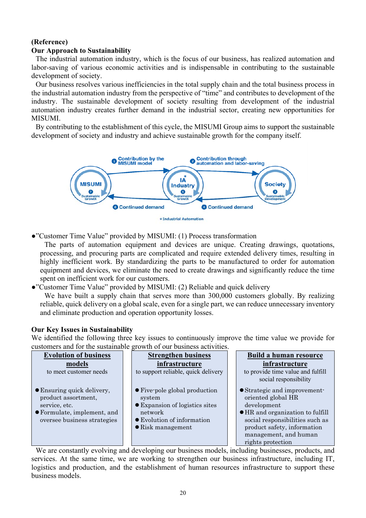# **(Reference)**

## **Our Approach to Sustainability**

The industrial automation industry, which is the focus of our business, has realized automation and labor-saving of various economic activities and is indispensable in contributing to the sustainable development of society.

Our business resolves various inefficiencies in the total supply chain and the total business process in the industrial automation industry from the perspective of "time" and contributes to development of the industry. The sustainable development of society resulting from development of the industrial automation industry creates further demand in the industrial sector, creating new opportunities for MISUMI.

By contributing to the establishment of this cycle, the MISUMI Group aims to support the sustainable development of society and industry and achieve sustainable growth for the company itself.



●"Customer Time Value" provided by MISUMI: (1) Process transformation

The parts of automation equipment and devices are unique. Creating drawings, quotations, processing, and procuring parts are complicated and require extended delivery times, resulting in highly inefficient work. By standardizing the parts to be manufactured to order for automation equipment and devices, we eliminate the need to create drawings and significantly reduce the time spent on inefficient work for our customers.

●"Customer Time Value" provided by MISUMI: (2) Reliable and quick delivery

We have built a supply chain that serves more than 300,000 customers globally. By realizing reliable, quick delivery on a global scale, even for a single part, we can reduce unnecessary inventory and eliminate production and operation opportunity losses.

#### **Our Key Issues in Sustainability**

We identified the following three key issues to continuously improve the time value we provide for customers and for the sustainable growth of our business activities.

| <b>Evolution of business</b>                                                                                                     | <b>Strengthen business</b>                                                                                                                              | Build a human resource                                                                                                                                                                                                        |
|----------------------------------------------------------------------------------------------------------------------------------|---------------------------------------------------------------------------------------------------------------------------------------------------------|-------------------------------------------------------------------------------------------------------------------------------------------------------------------------------------------------------------------------------|
| models                                                                                                                           | infrastructure                                                                                                                                          | infrastructure                                                                                                                                                                                                                |
| to meet customer needs                                                                                                           | to support reliable, quick delivery                                                                                                                     | to provide time value and fulfill                                                                                                                                                                                             |
|                                                                                                                                  |                                                                                                                                                         | social responsibility                                                                                                                                                                                                         |
| • Ensuring quick delivery,<br>product assortment,<br>service, etc.<br>● Formulate, implement, and<br>oversee business strategies | • Five-pole global production<br>system<br>● Expansion of logistics sites<br>network<br>$\bullet$ Evolution of information<br>$\bullet$ Risk management | • Strategic and improvement-<br>oriented global HR<br>development<br>$\bullet$ HR and organization to fulfill<br>social responsibilities such as<br>product safety, information<br>management, and human<br>rights protection |

We are constantly evolving and developing our business models, including businesses, products, and services. At the same time, we are working to strengthen our business infrastructure, including IT, logistics and production, and the establishment of human resources infrastructure to support these business models.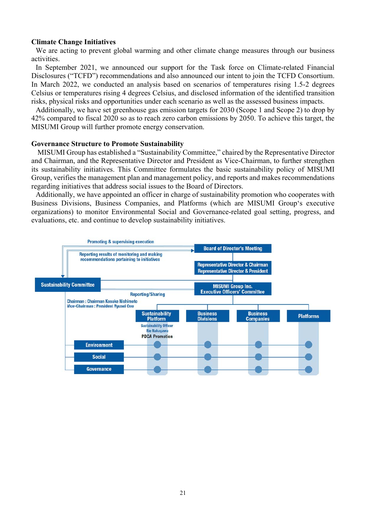#### **Climate Change Initiatives**

We are acting to prevent global warming and other climate change measures through our business activities.

In September 2021, we announced our support for the Task force on Climate-related Financial Disclosures ("TCFD") recommendations and also announced our intent to join the TCFD Consortium. In March 2022, we conducted an analysis based on scenarios of temperatures rising 1.5-2 degrees Celsius or temperatures rising 4 degrees Celsius, and disclosed information of the identified transition risks, physical risks and opportunities under each scenario as well as the assessed business impacts.

Additionally, we have set greenhouse gas emission targets for 2030 (Scope 1 and Scope 2) to drop by 42% compared to fiscal 2020 so as to reach zero carbon emissions by 2050. To achieve this target, the MISUMI Group will further promote energy conservation.

#### **Governance Structure to Promote Sustainability**

 MISUMI Group has established a "Sustainability Committee," chaired by the Representative Director and Chairman, and the Representative Director and President as Vice-Chairman, to further strengthen its sustainability initiatives. This Committee formulates the basic sustainability policy of MISUMI Group, verifies the management plan and management policy, and reports and makes recommendations regarding initiatives that address social issues to the Board of Directors.

Additionally, we have appointed an officer in charge of sustainability promotion who cooperates with Business Divisions, Business Companies, and Platforms (which are MISUMI Group's executive organizations) to monitor Environmental Social and Governance-related goal setting, progress, and evaluations, etc. and continue to develop sustainability initiatives.

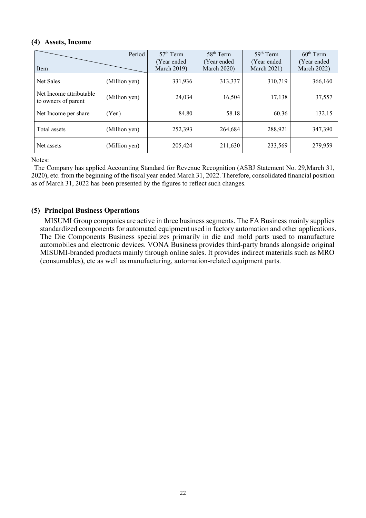## **(4) Assets, Income**

| Item                                           | Period        | $57th$ Term<br>(Year ended)<br><b>March 2019)</b> | 58 <sup>th</sup> Term<br>(Year ended)<br><b>March 2020)</b> | 59 <sup>th</sup> Term<br>(Year ended<br><b>March 2021)</b> | $60th$ Term<br>(Year ended<br><b>March 2022)</b> |
|------------------------------------------------|---------------|---------------------------------------------------|-------------------------------------------------------------|------------------------------------------------------------|--------------------------------------------------|
| <b>Net Sales</b>                               | (Million yen) | 331,936                                           | 313,337                                                     | 310,719                                                    | 366,160                                          |
| Net Income attributable<br>to owners of parent | (Million yen) | 24,034                                            | 16,504                                                      | 17,138                                                     | 37,557                                           |
| Net Income per share                           | (Yen)         | 84.80                                             | 58.18                                                       | 60.36                                                      | 132.15                                           |
| Total assets                                   | (Million yen) | 252,393                                           | 264,684                                                     | 288,921                                                    | 347,390                                          |
| Net assets                                     | (Million yen) | 205,424                                           | 211,630                                                     | 233,569                                                    | 279,959                                          |

Notes:

The Company has applied Accounting Standard for Revenue Recognition (ASBJ Statement No. 29,March 31, 2020), etc. from the beginning of the fiscal year ended March 31, 2022. Therefore, consolidated financial position as of March 31, 2022 has been presented by the figures to reflect such changes.

## **(5) Principal Business Operations**

MISUMI Group companies are active in three business segments. The FA Business mainly supplies standardized components for automated equipment used in factory automation and other applications. The Die Components Business specializes primarily in die and mold parts used to manufacture automobiles and electronic devices. VONA Business provides third-party brands alongside original MISUMI-branded products mainly through online sales. It provides indirect materials such as MRO (consumables), etc as well as manufacturing, automation-related equipment parts.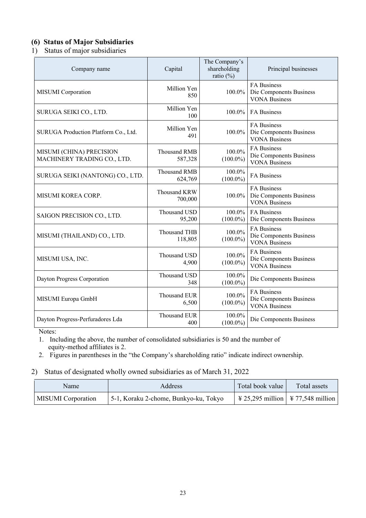## **(6) Status of Major Subsidiaries**

## 1) Status of major subsidiaries

| Company name                                            | Capital                        | The Company's<br>shareholding<br>ratio $(\%)$ | Principal businesses                                                  |
|---------------------------------------------------------|--------------------------------|-----------------------------------------------|-----------------------------------------------------------------------|
| MISUMI Corporation                                      | Million Yen<br>850             | 100.0%                                        | FA Business<br>Die Components Business<br><b>VONA Business</b>        |
| SURUGA SEIKI CO., LTD.                                  | Million Yen<br>100             | 100.0%                                        | <b>FA</b> Business                                                    |
| SURUGA Production Platform Co., Ltd.                    | Million Yen<br>491             | $100.0\%$                                     | <b>FA Business</b><br>Die Components Business<br><b>VONA Business</b> |
| MISUMI (CHINA) PRECISION<br>MACHINERY TRADING CO., LTD. | <b>Thousand RMB</b><br>587,328 | 100.0%<br>$(100.0\%)$                         | <b>FA Business</b><br>Die Components Business<br><b>VONA Business</b> |
| SURUGA SEIKI (NANTONG) CO., LTD.                        | <b>Thousand RMB</b><br>624,769 | 100.0%<br>$(100.0\%)$                         | <b>FA Business</b>                                                    |
| MISUMI KOREA CORP.                                      | Thousand KRW<br>700,000        | 100.0%                                        | FA Business<br>Die Components Business<br><b>VONA Business</b>        |
| SAIGON PRECISION CO., LTD.                              | Thousand USD<br>95,200         | 100.0%<br>$(100.0\%)$                         | FA Business<br>Die Components Business                                |
| MISUMI (THAILAND) CO., LTD.                             | Thousand THB<br>118,805        | 100.0%<br>$(100.0\%)$                         | <b>FA Business</b><br>Die Components Business<br><b>VONA Business</b> |
| MISUMI USA, INC.                                        | Thousand USD<br>4,900          | 100.0%<br>$(100.0\%)$                         | FA Business<br>Die Components Business<br><b>VONA</b> Business        |
| Dayton Progress Corporation                             | Thousand USD<br>348            | 100.0%<br>$(100.0\%)$                         | Die Components Business                                               |
| MISUMI Europa GmbH                                      | Thousand EUR<br>6,500          | 100.0%<br>$(100.0\%)$                         | <b>FA Business</b><br>Die Components Business<br><b>VONA Business</b> |
| Dayton Progress-Perfuradores Lda                        | <b>Thousand EUR</b><br>400     | 100.0%<br>$(100.0\%)$                         | Die Components Business                                               |

Notes:

1. Including the above, the number of consolidated subsidiaries is 50 and the number of equity-method affiliates is 2.

2. Figures in parentheses in the "the Company's shareholding ratio" indicate indirect ownership.

### 2) Status of designated wholly owned subsidiaries as of March 31, 2022

| Name                      | <b>Address</b>                        | Total book value | Total assets |
|---------------------------|---------------------------------------|------------------|--------------|
| <b>MISUMI</b> Corporation | 5-1, Koraku 2-chome, Bunkyo-ku, Tokyo |                  |              |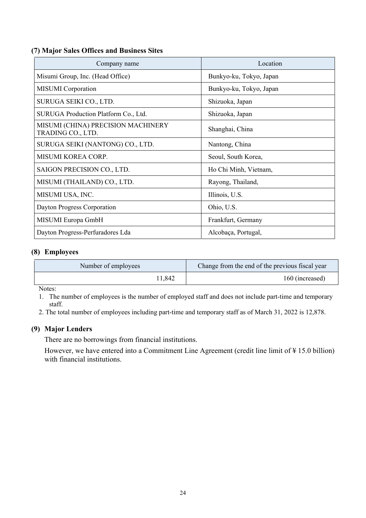## **(7) Major Sales Offices and Business Sites**

| Company name                                            | Location                |
|---------------------------------------------------------|-------------------------|
| Misumi Group, Inc. (Head Office)                        | Bunkyo-ku, Tokyo, Japan |
| <b>MISUMI</b> Corporation                               | Bunkyo-ku, Tokyo, Japan |
| SURUGA SEIKI CO., LTD.                                  | Shizuoka, Japan         |
| SURUGA Production Platform Co., Ltd.                    | Shizuoka, Japan         |
| MISUMI (CHINA) PRECISION MACHINERY<br>TRADING CO., LTD. | Shanghai, China         |
| SURUGA SEIKI (NANTONG) CO., LTD.                        | Nantong, China          |
| MISUMI KOREA CORP.                                      | Seoul, South Korea,     |
| SAIGON PRECISION CO., LTD.                              | Ho Chi Minh, Vietnam,   |
| MISUMI (THAILAND) CO., LTD.                             | Rayong, Thailand,       |
| MISUMI USA, INC.                                        | Illinois, U.S.          |
| Dayton Progress Corporation                             | Ohio, U.S.              |
| MISUMI Europa GmbH                                      | Frankfurt, Germany      |
| Dayton Progress-Perfuradores Lda                        | Alcobaça, Portugal,     |

## **(8) Employees**

| Number of employees | Change from the end of the previous fiscal year |
|---------------------|-------------------------------------------------|
| 1,842               | 160 (increased)                                 |

Notes:

1. The number of employees is the number of employed staff and does not include part-time and temporary staff.

2. The total number of employees including part-time and temporary staff as of March 31, 2022 is 12,878.

## **(9) Major Lenders**

There are no borrowings from financial institutions.

However, we have entered into a Commitment Line Agreement (credit line limit of ¥ 15.0 billion) with financial institutions.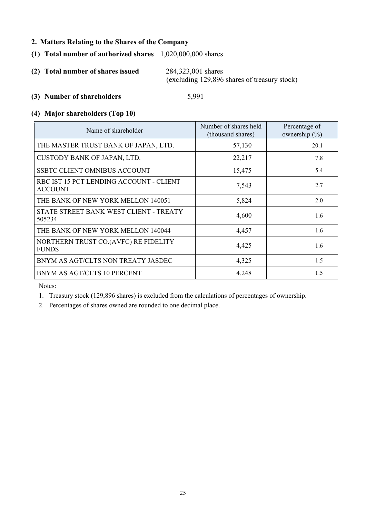## **2. Matters Relating to the Shares of the Company**

- **(1) Total number of authorized shares** 1,020,000,000 shares
- **(2) Total number of shares issued** 284,323,001 shares (excluding 129,896 shares of treasury stock)

#### **(3) Number of shareholders** 5,991

#### **(4) Major shareholders (Top 10)**

| Name of shareholder                                       | Number of shares held<br>(thousand shares) | Percentage of<br>ownership $(\% )$ |
|-----------------------------------------------------------|--------------------------------------------|------------------------------------|
| THE MASTER TRUST BANK OF JAPAN, LTD.                      | 57,130                                     | 20.1                               |
| CUSTODY BANK OF JAPAN, LTD.                               | 22,217                                     | 7.8                                |
| <b>SSBTC CLIENT OMNIBUS ACCOUNT</b>                       | 15,475                                     | 5.4                                |
| RBC IST 15 PCT LENDING ACCOUNT - CLIENT<br><b>ACCOUNT</b> | 7,543                                      | 2.7                                |
| THE BANK OF NEW YORK MELLON 140051                        | 5,824                                      | 2.0                                |
| STATE STREET BANK WEST CLIENT - TREATY<br>505234          | 4,600                                      | 1.6                                |
| THE BANK OF NEW YORK MELLON 140044                        | 4,457                                      | 1.6                                |
| NORTHERN TRUST CO.(AVFC) RE FIDELITY<br><b>FUNDS</b>      | 4,425                                      | 1.6                                |
| BNYM AS AGT/CLTS NON TREATY JASDEC                        | 4,325                                      | 1.5                                |
| BNYM AS AGT/CLTS 10 PERCENT                               | 4,248                                      | 1.5                                |

Notes:

1. Treasury stock (129,896 shares) is excluded from the calculations of percentages of ownership.

2. Percentages of shares owned are rounded to one decimal place.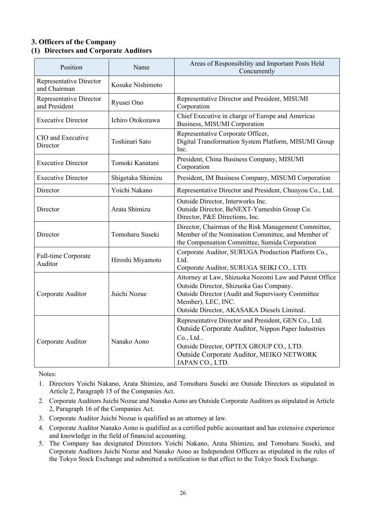## **3. Officers of the Company (1) Directors and Corporate Auditors**

| Position                                       | Name              | Areas of Responsibility and Important Posts Held<br>Concurrently                                                                                                                                                                 |
|------------------------------------------------|-------------------|----------------------------------------------------------------------------------------------------------------------------------------------------------------------------------------------------------------------------------|
| <b>Representative Director</b><br>and Chairman | Kosuke Nishimoto  |                                                                                                                                                                                                                                  |
| Representative Director<br>and President       | Ryusei Ono        | Representative Director and President, MISUMI<br>Corporation                                                                                                                                                                     |
| <b>Executive Director</b>                      | Ichiro Otokozawa  | Chief Executive in charge of Europe and Americas<br>Business, MISUMI Corporation                                                                                                                                                 |
| CIO and Executive<br>Director                  | Toshinari Sato    | Representative Corporate Officer,<br>Digital Transformation System Platform, MISUMI Group<br>Inc.                                                                                                                                |
| <b>Executive Director</b>                      | Tomoki Kanatani   | President, China Business Company, MISUMI<br>Corporation                                                                                                                                                                         |
| <b>Executive Director</b>                      | Shigetaka Shimizu | President, IM Business Company, MISUMI Corporation                                                                                                                                                                               |
| Director                                       | Yoichi Nakano     | Representative Director and President, Chuuyou Co., Ltd.                                                                                                                                                                         |
| Director                                       | Arata Shimizu     | Outside Director, Interworks Inc.<br>Outside Director, BeNEXT-Yumeshin Group Co.<br>Director, P&E Directions, Inc.                                                                                                               |
| Director                                       | Tomoharu Suseki   | Director, Chairman of the Risk Management Committee,<br>Member of the Nomination Committee, and Member of<br>the Compensation Committee, Sumida Corporation                                                                      |
| Full-time Corporate<br>Auditor                 | Hiroshi Miyamoto  | Corporate Auditor, SURUGA Production Platform Co.,<br>Ltd.<br>Corporate Auditor, SURUGA SEIKI CO., LTD.                                                                                                                          |
| Corporate Auditor                              | Juichi Nozue      | Attorney at Law, Shizuoka Nozomi Law and Patent Office<br>Outside Director, Shizuoka Gas Company.<br>Outside Director (Audit and Supervisory Committee<br>Member), LEC, INC.<br>Outside Director, AKASAKA Diesels Limited.       |
| Corporate Auditor                              | Nanako Aono       | Representative Director and President, GEN Co., Ltd.<br>Outside Corporate Auditor, Nippon Paper Industries<br>Co., Ltd<br>Outside Director, OPTEX GROUP CO., LTD.<br>Outside Corporate Auditor, MEIKO NETWORK<br>JAPAN CO., LTD. |

Notes:

- 1. Directors Yoichi Nakano, Arata Shimizu, and Tomoharu Suseki are Outside Directors as stipulated in Article 2, Paragraph 15 of the Companies Act.
- 2. Corporate Auditors Juichi Nozue and Nanako Aono are Outside Corporate Auditors as stipulated in Article 2, Paragraph 16 of the Companies Act.
- 3. Corporate Auditor Juichi Nozue is qualified as an attorney at law.
- 4. Corporate Auditor Nanako Aono is qualified as a certified public accountant and has extensive experience and knowledge in the field of financial accounting.
- 5. The Company has designated Directors Yoichi Nakano, Arata Shimizu, and Tomoharu Suseki, and Corporate Auditors Juichi Nozue and Nanako Aono as Independent Officers as stipulated in the rules of the Tokyo Stock Exchange and submitted a notification to that effect to the Tokyo Stock Exchange.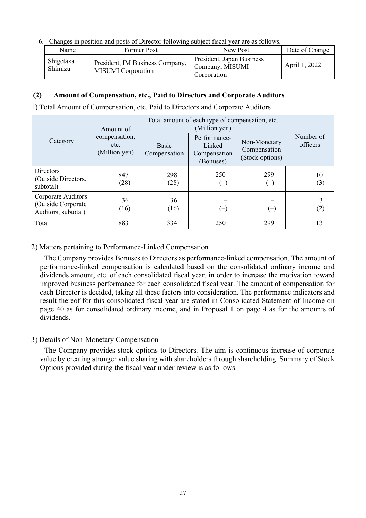6. Changes in position and posts of Director following subject fiscal year are as follows.

| Name                 | Former Post                                                  | New Post                                                    | Date of Change |
|----------------------|--------------------------------------------------------------|-------------------------------------------------------------|----------------|
| Shigetaka<br>Shimizu | President, IM Business Company,<br><b>MISUMI</b> Corporation | President, Japan Business<br>Company, MISUMI<br>Corporation | April 1, 2022  |

## **(2) Amount of Compensation, etc., Paid to Directors and Corporate Auditors**

1) Total Amount of Compensation, etc. Paid to Directors and Corporate Auditors

|                                                                 | Amount of                              | Total amount of each type of compensation, etc. |                                                     |                                                 |                       |
|-----------------------------------------------------------------|----------------------------------------|-------------------------------------------------|-----------------------------------------------------|-------------------------------------------------|-----------------------|
| Category                                                        | compensation,<br>etc.<br>(Million yen) | <b>Basic</b><br>Compensation                    | Performance-<br>Linked<br>Compensation<br>(Bonuses) | Non-Monetary<br>Compensation<br>(Stock options) | Number of<br>officers |
| <b>Directors</b><br>(Outside Directors,<br>subtotal)            | 847<br>(28)                            | 298<br>(28)                                     | 250<br>$\equiv$                                     | 299<br>$(-)$                                    | 10<br>(3)             |
| Corporate Auditors<br>(Outside Corporate<br>Auditors, subtotal) | 36<br>(16)                             | 36<br>(16)                                      | $(-)$                                               | $(-)$                                           | $\left( 2\right)$     |
| Total                                                           | 883                                    | 334                                             | 250                                                 | 299                                             | 13                    |

2) Matters pertaining to Performance-Linked Compensation

The Company provides Bonuses to Directors as performance-linked compensation. The amount of performance-linked compensation is calculated based on the consolidated ordinary income and dividends amount, etc. of each consolidated fiscal year, in order to increase the motivation toward improved business performance for each consolidated fiscal year. The amount of compensation for each Director is decided, taking all these factors into consideration. The performance indicators and result thereof for this consolidated fiscal year are stated in Consolidated Statement of Income on page 40 as for consolidated ordinary income, and in Proposal 1 on page 4 as for the amounts of dividends.

#### 3) Details of Non-Monetary Compensation

The Company provides stock options to Directors. The aim is continuous increase of corporate value by creating stronger value sharing with shareholders through shareholding. Summary of Stock Options provided during the fiscal year under review is as follows.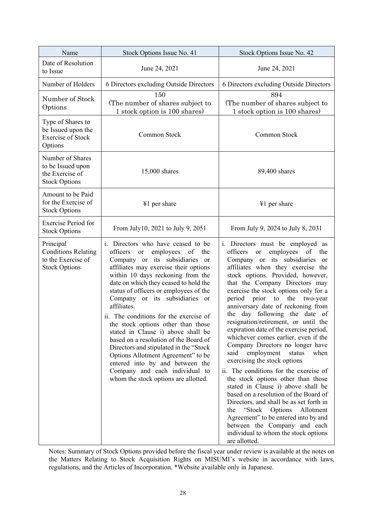| Name                                                                                  | Stock Options Issue No. 41                                                                                                                                                                                                                                                                                                                                                                                                                                                                                                                                                                                                                                                                              | Stock Options Issue No. 42                                                                                                                                                                                                                                                                                                                                                                                                                                                                                                                                                                                                                                                                                                                                                                                                                                                                                                                                                                                                                                                                                                     |
|---------------------------------------------------------------------------------------|---------------------------------------------------------------------------------------------------------------------------------------------------------------------------------------------------------------------------------------------------------------------------------------------------------------------------------------------------------------------------------------------------------------------------------------------------------------------------------------------------------------------------------------------------------------------------------------------------------------------------------------------------------------------------------------------------------|--------------------------------------------------------------------------------------------------------------------------------------------------------------------------------------------------------------------------------------------------------------------------------------------------------------------------------------------------------------------------------------------------------------------------------------------------------------------------------------------------------------------------------------------------------------------------------------------------------------------------------------------------------------------------------------------------------------------------------------------------------------------------------------------------------------------------------------------------------------------------------------------------------------------------------------------------------------------------------------------------------------------------------------------------------------------------------------------------------------------------------|
| Date of Resolution<br>to Issue                                                        | June 24, 2021                                                                                                                                                                                                                                                                                                                                                                                                                                                                                                                                                                                                                                                                                           | June 24, 2021                                                                                                                                                                                                                                                                                                                                                                                                                                                                                                                                                                                                                                                                                                                                                                                                                                                                                                                                                                                                                                                                                                                  |
| Number of Holders                                                                     | 6 Directors excluding Outside Directors                                                                                                                                                                                                                                                                                                                                                                                                                                                                                                                                                                                                                                                                 | 6 Directors excluding Outside Directors                                                                                                                                                                                                                                                                                                                                                                                                                                                                                                                                                                                                                                                                                                                                                                                                                                                                                                                                                                                                                                                                                        |
| Number of Stock<br>Options                                                            | 150<br>(The number of shares subject to<br>1 stock option is 100 shares)                                                                                                                                                                                                                                                                                                                                                                                                                                                                                                                                                                                                                                | 894<br>(The number of shares subject to<br>1 stock option is 100 shares)                                                                                                                                                                                                                                                                                                                                                                                                                                                                                                                                                                                                                                                                                                                                                                                                                                                                                                                                                                                                                                                       |
| Type of Shares to<br>be Issued upon the<br><b>Exercise of Stock</b><br>Options        | Common Stock                                                                                                                                                                                                                                                                                                                                                                                                                                                                                                                                                                                                                                                                                            | Common Stock                                                                                                                                                                                                                                                                                                                                                                                                                                                                                                                                                                                                                                                                                                                                                                                                                                                                                                                                                                                                                                                                                                                   |
| Number of Shares<br>to be Issued upon<br>the Exercise of<br><b>Stock Options</b>      | 15,000 shares                                                                                                                                                                                                                                                                                                                                                                                                                                                                                                                                                                                                                                                                                           | 89,400 shares                                                                                                                                                                                                                                                                                                                                                                                                                                                                                                                                                                                                                                                                                                                                                                                                                                                                                                                                                                                                                                                                                                                  |
| Amount to be Paid<br>for the Exercise of<br><b>Stock Options</b>                      | ¥1 per share                                                                                                                                                                                                                                                                                                                                                                                                                                                                                                                                                                                                                                                                                            | ¥1 per share                                                                                                                                                                                                                                                                                                                                                                                                                                                                                                                                                                                                                                                                                                                                                                                                                                                                                                                                                                                                                                                                                                                   |
| <b>Exercise Period for</b><br><b>Stock Options</b>                                    | From July10, 2021 to July 9, 2051                                                                                                                                                                                                                                                                                                                                                                                                                                                                                                                                                                                                                                                                       | From July 9, 2024 to July 8, 2031                                                                                                                                                                                                                                                                                                                                                                                                                                                                                                                                                                                                                                                                                                                                                                                                                                                                                                                                                                                                                                                                                              |
| Principal<br><b>Conditions Relating</b><br>to the Exercise of<br><b>Stock Options</b> | i. Directors who have ceased to be<br>employees of<br>officers or<br>the<br>Company or its subsidiaries<br><sub>or</sub><br>affiliates may exercise their options<br>within 10 days reckoning from the<br>date on which they ceased to hold the<br>status of officers or employees of the<br>Company or its subsidiaries or<br>affiliates.<br>ii. The conditions for the exercise of<br>the stock options other than those<br>stated in Clause i) above shall be<br>based on a resolution of the Board of<br>Directors and stipulated in the "Stock"<br>Options Allotment Agreement" to be<br>entered into by and between the<br>Company and each individual to<br>whom the stock options are allotted. | i. Directors must be employed as<br>employees<br>$% \left( \left( \mathcal{A},\mathcal{A}\right) \right) =\left( \mathcal{A},\mathcal{A}\right)$ of<br>officers<br>the<br><b>or</b><br>Company or its subsidiaries<br><sub>or</sub><br>affiliates when they exercise the<br>stock options. Provided, however,<br>that the Company Directors may<br>exercise the stock options only for a<br>period<br>prior to the<br>two-year<br>anniversary date of reckoning from<br>the day following the date of<br>resignation/retirement, or until the<br>expiration date of the exercise period,<br>whichever comes earlier, even if the<br>Company Directors no longer have<br>employment<br>when<br>said<br>status<br>exercising the stock options<br>ii. The conditions for the exercise of<br>the stock options other than those<br>stated in Clause i) above shall be<br>based on a resolution of the Board of<br>Directors, and shall be as set forth in<br>"Stock Options"<br>Allotment<br>the<br>Agreement" to be entered into by and<br>between the Company and each<br>individual to whom the stock options<br>are allotted. |

Notes: Summary of Stock Options provided before the fiscal year under review is available at the notes on the Matters Relating to Stock Acquisition Rights on MISUMI's website in accordance with laws, regulations, and the Articles of Incorporation. \*Website available only in Japanese.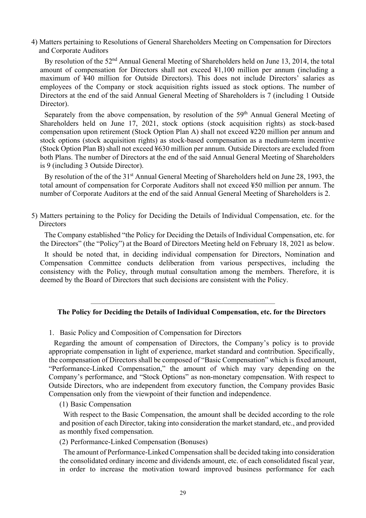4) Matters pertaining to Resolutions of General Shareholders Meeting on Compensation for Directors and Corporate Auditors

By resolution of the 52<sup>nd</sup> Annual General Meeting of Shareholders held on June 13, 2014, the total amount of compensation for Directors shall not exceed ¥1,100 million per annum (including a maximum of ¥40 million for Outside Directors). This does not include Directors' salaries as employees of the Company or stock acquisition rights issued as stock options. The number of Directors at the end of the said Annual General Meeting of Shareholders is 7 (including 1 Outside Director).

Separately from the above compensation, by resolution of the 59<sup>th</sup> Annual General Meeting of Shareholders held on June 17, 2021, stock options (stock acquisition rights) as stock-based compensation upon retirement (Stock Option Plan A) shall not exceed ¥220 million per annum and stock options (stock acquisition rights) as stock-based compensation as a medium-term incentive (Stock Option Plan B) shall not exceed ¥630 million per annum. Outside Directors are excluded from both Plans. The number of Directors at the end of the said Annual General Meeting of Shareholders is 9 (including 3 Outside Director).

By resolution of the of the 31<sup>st</sup> Annual General Meeting of Shareholders held on June 28, 1993, the total amount of compensation for Corporate Auditors shall not exceed ¥50 million per annum. The number of Corporate Auditors at the end of the said Annual General Meeting of Shareholders is 2.

5) Matters pertaining to the Policy for Deciding the Details of Individual Compensation, etc. for the **Directors** 

The Company established "the Policy for Deciding the Details of Individual Compensation, etc. for the Directors" (the "Policy") at the Board of Directors Meeting held on February 18, 2021 as below.

It should be noted that, in deciding individual compensation for Directors, Nomination and Compensation Committee conducts deliberation from various perspectives, including the consistency with the Policy, through mutual consultation among the members. Therefore, it is deemed by the Board of Directors that such decisions are consistent with the Policy.

#### **The Policy for Deciding the Details of Individual Compensation, etc. for the Directors**

\_\_\_\_\_\_\_\_\_\_\_\_\_\_\_\_\_\_\_\_\_\_\_\_\_

1. Basic Policy and Composition of Compensation for Directors

Regarding the amount of compensation of Directors, the Company's policy is to provide appropriate compensation in light of experience, market standard and contribution. Specifically, the compensation of Directors shall be composed of "Basic Compensation" which is fixed amount, "Performance-Linked Compensation," the amount of which may vary depending on the Company's performance, and "Stock Options" as non-monetary compensation. With respect to Outside Directors, who are independent from executory function, the Company provides Basic Compensation only from the viewpoint of their function and independence.

#### (1) Basic Compensation

With respect to the Basic Compensation, the amount shall be decided according to the role and position of each Director, taking into consideration the market standard, etc., and provided as monthly fixed compensation.

(2) Performance-Linked Compensation (Bonuses)

The amount of Performance-Linked Compensation shall be decided taking into consideration the consolidated ordinary income and dividends amount, etc. of each consolidated fiscal year, in order to increase the motivation toward improved business performance for each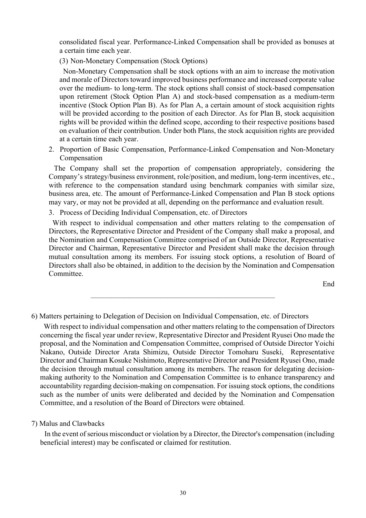consolidated fiscal year. Performance-Linked Compensation shall be provided as bonuses at a certain time each year.

(3) Non-Monetary Compensation (Stock Options)

Non-Monetary Compensation shall be stock options with an aim to increase the motivation and morale of Directors toward improved business performance and increased corporate value over the medium- to long-term. The stock options shall consist of stock-based compensation upon retirement (Stock Option Plan A) and stock-based compensation as a medium-term incentive (Stock Option Plan B). As for Plan A, a certain amount of stock acquisition rights will be provided according to the position of each Director. As for Plan B, stock acquisition rights will be provided within the defined scope, according to their respective positions based on evaluation of their contribution. Under both Plans, the stock acquisition rights are provided at a certain time each year.

2. Proportion of Basic Compensation, Performance-Linked Compensation and Non-Monetary Compensation

The Company shall set the proportion of compensation appropriately, considering the Company's strategy/business environment, role/position, and medium, long-term incentives, etc., with reference to the compensation standard using benchmark companies with similar size, business area, etc. The amount of Performance-Linked Compensation and Plan B stock options may vary, or may not be provided at all, depending on the performance and evaluation result.

3. Process of Deciding Individual Compensation, etc. of Directors

With respect to individual compensation and other matters relating to the compensation of Directors, the Representative Director and President of the Company shall make a proposal, and the Nomination and Compensation Committee comprised of an Outside Director, Representative Director and Chairman, Representative Director and President shall make the decision through mutual consultation among its members. For issuing stock options, a resolution of Board of Directors shall also be obtained, in addition to the decision by the Nomination and Compensation Committee.

End

6) Matters pertaining to Delegation of Decision on Individual Compensation, etc. of Directors

\_\_\_\_\_\_\_\_\_\_\_\_\_\_\_\_\_\_\_\_\_\_\_\_\_

With respect to individual compensation and other matters relating to the compensation of Directors concerning the fiscal year under review, Representative Director and President Ryusei Ono made the proposal, and the Nomination and Compensation Committee, comprised of Outside Director Yoichi Nakano, Outside Director Arata Shimizu, Outside Director Tomoharu Suseki, Representative Director and Chairman Kosuke Nishimoto, Representative Director and President Ryusei Ono, made the decision through mutual consultation among its members. The reason for delegating decisionmaking authority to the Nomination and Compensation Committee is to enhance transparency and accountability regarding decision-making on compensation. For issuing stock options, the conditions such as the number of units were deliberated and decided by the Nomination and Compensation Committee, and a resolution of the Board of Directors were obtained.

#### 7) Malus and Clawbacks

In the event of serious misconduct or violation by a Director, the Director's compensation (including beneficial interest) may be confiscated or claimed for restitution.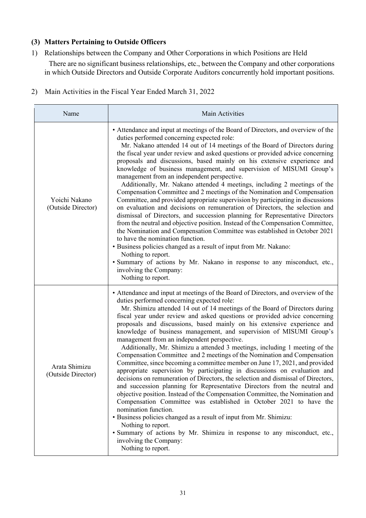## **(3) Matters Pertaining to Outside Officers**

1) Relationships between the Company and Other Corporations in which Positions are Held

There are no significant business relationships, etc., between the Company and other corporations in which Outside Directors and Outside Corporate Auditors concurrently hold important positions.

2) Main Activities in the Fiscal Year Ended March 31, 2022

| Name                                | Main Activities                                                                                                                                                                                                                                                                                                                                                                                                                                                                                                                                                                                                                                                                                                                                                                                                                                                                                                                                                                                                                                                                                                                                                                                                                                                                                                                                                                               |
|-------------------------------------|-----------------------------------------------------------------------------------------------------------------------------------------------------------------------------------------------------------------------------------------------------------------------------------------------------------------------------------------------------------------------------------------------------------------------------------------------------------------------------------------------------------------------------------------------------------------------------------------------------------------------------------------------------------------------------------------------------------------------------------------------------------------------------------------------------------------------------------------------------------------------------------------------------------------------------------------------------------------------------------------------------------------------------------------------------------------------------------------------------------------------------------------------------------------------------------------------------------------------------------------------------------------------------------------------------------------------------------------------------------------------------------------------|
| Yoichi Nakano<br>(Outside Director) | • Attendance and input at meetings of the Board of Directors, and overview of the<br>duties performed concerning expected role:<br>Mr. Nakano attended 14 out of 14 meetings of the Board of Directors during<br>the fiscal year under review and asked questions or provided advice concerning<br>proposals and discussions, based mainly on his extensive experience and<br>knowledge of business management, and supervision of MISUMI Group's<br>management from an independent perspective.<br>Additionally, Mr. Nakano attended 4 meetings, including 2 meetings of the<br>Compensation Committee and 2 meetings of the Nomination and Compensation<br>Committee, and provided appropriate supervision by participating in discussions<br>on evaluation and decisions on remuneration of Directors, the selection and<br>dismissal of Directors, and succession planning for Representative Directors<br>from the neutral and objective position. Instead of the Compensation Committee,<br>the Nomination and Compensation Committee was established in October 2021<br>to have the nomination function.<br>• Business policies changed as a result of input from Mr. Nakano:<br>Nothing to report.<br>· Summary of actions by Mr. Nakano in response to any misconduct, etc.,<br>involving the Company:<br>Nothing to report.                                                         |
| Arata Shimizu<br>(Outside Director) | • Attendance and input at meetings of the Board of Directors, and overview of the<br>duties performed concerning expected role:<br>Mr. Shimizu attended 14 out of 14 meetings of the Board of Directors during<br>fiscal year under review and asked questions or provided advice concerning<br>proposals and discussions, based mainly on his extensive experience and<br>knowledge of business management, and supervision of MISUMI Group's<br>management from an independent perspective.<br>Additionally, Mr. Shimizu a attended 3 meetings, including 1 meeting of the<br>Compensation Committee and 2 meetings of the Nomination and Compensation<br>Committee, since becoming a committee member on June 17, 2021, and provided<br>appropriate supervision by participating in discussions on evaluation and<br>decisions on remuneration of Directors, the selection and dismissal of Directors,<br>and succession planning for Representative Directors from the neutral and<br>objective position. Instead of the Compensation Committee, the Nomination and<br>Compensation Committee was established in October 2021 to have the<br>nomination function.<br>· Business policies changed as a result of input from Mr. Shimizu:<br>Nothing to report.<br>· Summary of actions by Mr. Shimizu in response to any misconduct, etc.,<br>involving the Company:<br>Nothing to report. |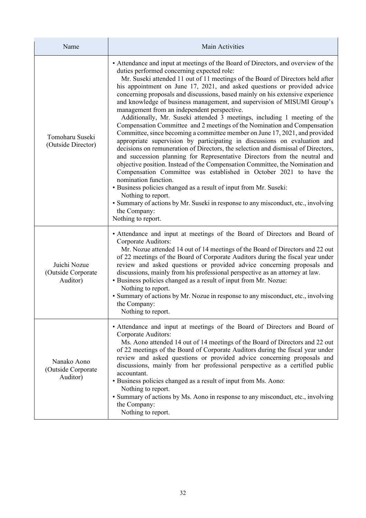| Name                                           | Main Activities                                                                                                                                                                                                                                                                                                                                                                                                                                                                                                                                                                                                                                                                                                                                                                                                                                                                                                                                                                                                                                                                                                                                                                                                                                                                                                                                                                                      |
|------------------------------------------------|------------------------------------------------------------------------------------------------------------------------------------------------------------------------------------------------------------------------------------------------------------------------------------------------------------------------------------------------------------------------------------------------------------------------------------------------------------------------------------------------------------------------------------------------------------------------------------------------------------------------------------------------------------------------------------------------------------------------------------------------------------------------------------------------------------------------------------------------------------------------------------------------------------------------------------------------------------------------------------------------------------------------------------------------------------------------------------------------------------------------------------------------------------------------------------------------------------------------------------------------------------------------------------------------------------------------------------------------------------------------------------------------------|
| Tomoharu Suseki<br>(Outside Director)          | • Attendance and input at meetings of the Board of Directors, and overview of the<br>duties performed concerning expected role:<br>Mr. Suseki attended 11 out of 11 meetings of the Board of Directors held after<br>his appointment on June 17, 2021, and asked questions or provided advice<br>concerning proposals and discussions, based mainly on his extensive experience<br>and knowledge of business management, and supervision of MISUMI Group's<br>management from an independent perspective.<br>Additionally, Mr. Suseki attended 3 meetings, including 1 meeting of the<br>Compensation Committee and 2 meetings of the Nomination and Compensation<br>Committee, since becoming a committee member on June 17, 2021, and provided<br>appropriate supervision by participating in discussions on evaluation and<br>decisions on remuneration of Directors, the selection and dismissal of Directors,<br>and succession planning for Representative Directors from the neutral and<br>objective position. Instead of the Compensation Committee, the Nomination and<br>Compensation Committee was established in October 2021 to have the<br>nomination function.<br>· Business policies changed as a result of input from Mr. Suseki:<br>Nothing to report.<br>• Summary of actions by Mr. Suseki in response to any misconduct, etc., involving<br>the Company:<br>Nothing to report. |
| Juichi Nozue<br>(Outside Corporate<br>Auditor) | • Attendance and input at meetings of the Board of Directors and Board of<br>Corporate Auditors:<br>Mr. Nozue attended 14 out of 14 meetings of the Board of Directors and 22 out<br>of 22 meetings of the Board of Corporate Auditors during the fiscal year under<br>review and asked questions or provided advice concerning proposals and<br>discussions, mainly from his professional perspective as an attorney at law.<br>• Business policies changed as a result of input from Mr. Nozue:<br>Nothing to report.<br>• Summary of actions by Mr. Nozue in response to any misconduct, etc., involving<br>the Company:<br>Nothing to report.                                                                                                                                                                                                                                                                                                                                                                                                                                                                                                                                                                                                                                                                                                                                                    |
| Nanako Aono<br>(Outside Corporate<br>Auditor)  | • Attendance and input at meetings of the Board of Directors and Board of<br>Corporate Auditors:<br>Ms. Aono attended 14 out of 14 meetings of the Board of Directors and 22 out<br>of 22 meetings of the Board of Corporate Auditors during the fiscal year under<br>review and asked questions or provided advice concerning proposals and<br>discussions, mainly from her professional perspective as a certified public<br>accountant.<br>· Business policies changed as a result of input from Ms. Aono:<br>Nothing to report.<br>• Summary of actions by Ms. Aono in response to any misconduct, etc., involving<br>the Company:<br>Nothing to report.                                                                                                                                                                                                                                                                                                                                                                                                                                                                                                                                                                                                                                                                                                                                         |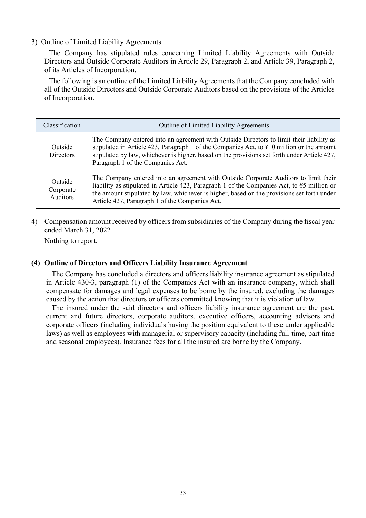#### 3) Outline of Limited Liability Agreements

The Company has stipulated rules concerning Limited Liability Agreements with Outside Directors and Outside Corporate Auditors in Article 29, Paragraph 2, and Article 39, Paragraph 2, of its Articles of Incorporation.

The following is an outline of the Limited Liability Agreements that the Company concluded with all of the Outside Directors and Outside Corporate Auditors based on the provisions of the Articles of Incorporation.

| Classification                   | Outline of Limited Liability Agreements                                                                                                                                                                                                                                                                                            |
|----------------------------------|------------------------------------------------------------------------------------------------------------------------------------------------------------------------------------------------------------------------------------------------------------------------------------------------------------------------------------|
| Outside<br><b>Directors</b>      | The Company entered into an agreement with Outside Directors to limit their liability as<br>stipulated in Article 423, Paragraph 1 of the Companies Act, to ¥10 million or the amount<br>stipulated by law, whichever is higher, based on the provisions set forth under Article 427,<br>Paragraph 1 of the Companies Act.         |
| Outside<br>Corporate<br>Auditors | The Company entered into an agreement with Outside Corporate Auditors to limit their<br>liability as stipulated in Article 423, Paragraph 1 of the Companies Act, to ¥5 million or<br>the amount stipulated by law, whichever is higher, based on the provisions set forth under<br>Article 427, Paragraph 1 of the Companies Act. |

4) Compensation amount received by officers from subsidiaries of the Company during the fiscal year ended March 31, 2022

Nothing to report.

#### **(4) Outline of Directors and Officers Liability Insurance Agreement**

The Company has concluded a directors and officers liability insurance agreement as stipulated in Article 430-3, paragraph (1) of the Companies Act with an insurance company, which shall compensate for damages and legal expenses to be borne by the insured, excluding the damages caused by the action that directors or officers committed knowing that it is violation of law.

The insured under the said directors and officers liability insurance agreement are the past, current and future directors, corporate auditors, executive officers, accounting advisors and corporate officers (including individuals having the position equivalent to these under applicable laws) as well as employees with managerial or supervisory capacity (including full-time, part time and seasonal employees). Insurance fees for all the insured are borne by the Company.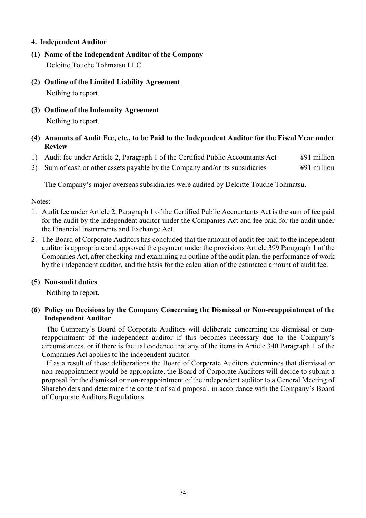## **4. Independent Auditor**

- **(1) Name of the Independent Auditor of the Company**  Deloitte Touche Tohmatsu LLC
- **(2) Outline of the Limited Liability Agreement**  Nothing to report.
- **(3) Outline of the Indemnity Agreement**  Nothing to report.
- **(4) Amounts of Audit Fee, etc., to be Paid to the Independent Auditor for the Fiscal Year under Review**
- 1) Audit fee under Article 2, Paragraph 1 of the Certified Public Accountants Act  $\frac{491 \text{ million}}{291 \text{ million}}$
- 2) Sum of cash or other assets payable by the Company and/or its subsidiaries  $\frac{491 \text{ million}}{291 \text{ million}}$

The Company's major overseas subsidiaries were audited by Deloitte Touche Tohmatsu.

#### Notes:

- 1. Audit fee under Article 2, Paragraph 1 of the Certified Public Accountants Act is the sum of fee paid for the audit by the independent auditor under the Companies Act and fee paid for the audit under the Financial Instruments and Exchange Act.
- 2. The Board of Corporate Auditors has concluded that the amount of audit fee paid to the independent auditor is appropriate and approved the payment under the provisions Article 399 Paragraph 1 of the Companies Act, after checking and examining an outline of the audit plan, the performance of work by the independent auditor, and the basis for the calculation of the estimated amount of audit fee.

#### **(5) Non-audit duties**

Nothing to report.

## **(6) Policy on Decisions by the Company Concerning the Dismissal or Non-reappointment of the Independent Auditor**

The Company's Board of Corporate Auditors will deliberate concerning the dismissal or nonreappointment of the independent auditor if this becomes necessary due to the Company's circumstances, or if there is factual evidence that any of the items in Article 340 Paragraph 1 of the Companies Act applies to the independent auditor.

If as a result of these deliberations the Board of Corporate Auditors determines that dismissal or non-reappointment would be appropriate, the Board of Corporate Auditors will decide to submit a proposal for the dismissal or non-reappointment of the independent auditor to a General Meeting of Shareholders and determine the content of said proposal, in accordance with the Company's Board of Corporate Auditors Regulations.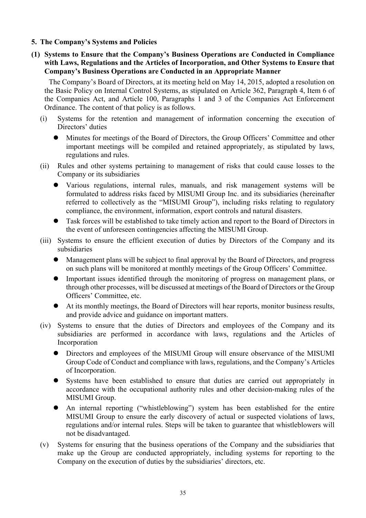- **5. The Company's Systems and Policies**
- **(1) Systems to Ensure that the Company's Business Operations are Conducted in Compliance with Laws, Regulations and the Articles of Incorporation, and Other Systems to Ensure that Company's Business Operations are Conducted in an Appropriate Manner**

The Company's Board of Directors, at its meeting held on May 14, 2015, adopted a resolution on the Basic Policy on Internal Control Systems, as stipulated on Article 362, Paragraph 4, Item 6 of the Companies Act, and Article 100, Paragraphs 1 and 3 of the Companies Act Enforcement Ordinance. The content of that policy is as follows.

- (i) Systems for the retention and management of information concerning the execution of Directors' duties
	- Minutes for meetings of the Board of Directors, the Group Officers' Committee and other important meetings will be compiled and retained appropriately, as stipulated by laws, regulations and rules.
- (ii) Rules and other systems pertaining to management of risks that could cause losses to the Company or its subsidiaries
	- Various regulations, internal rules, manuals, and risk management systems will be formulated to address risks faced by MISUMI Group Inc. and its subsidiaries (hereinafter referred to collectively as the "MISUMI Group"), including risks relating to regulatory compliance, the environment, information, export controls and natural disasters.
	- Task forces will be established to take timely action and report to the Board of Directors in the event of unforeseen contingencies affecting the MISUMI Group.
- (iii) Systems to ensure the efficient execution of duties by Directors of the Company and its subsidiaries
	- Management plans will be subject to final approval by the Board of Directors, and progress on such plans will be monitored at monthly meetings of the Group Officers' Committee.
	- Important issues identified through the monitoring of progress on management plans, or through other processes, will be discussed at meetings of the Board of Directors or the Group Officers' Committee, etc.
	- At its monthly meetings, the Board of Directors will hear reports, monitor business results, and provide advice and guidance on important matters.
- (iv) Systems to ensure that the duties of Directors and employees of the Company and its subsidiaries are performed in accordance with laws, regulations and the Articles of Incorporation
	- Directors and employees of the MISUMI Group will ensure observance of the MISUMI Group Code of Conduct and compliance with laws, regulations, and the Company's Articles of Incorporation.
	- Systems have been established to ensure that duties are carried out appropriately in accordance with the occupational authority rules and other decision-making rules of the MISUMI Group.
	- An internal reporting ("whistleblowing") system has been established for the entire MISUMI Group to ensure the early discovery of actual or suspected violations of laws, regulations and/or internal rules. Steps will be taken to guarantee that whistleblowers will not be disadvantaged.
- (v) Systems for ensuring that the business operations of the Company and the subsidiaries that make up the Group are conducted appropriately, including systems for reporting to the Company on the execution of duties by the subsidiaries' directors, etc.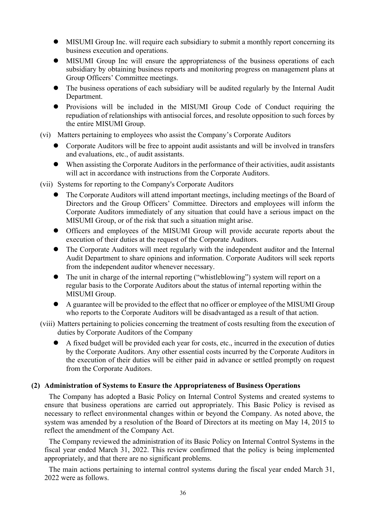- MISUMI Group Inc. will require each subsidiary to submit a monthly report concerning its business execution and operations.
- MISUMI Group Inc will ensure the appropriateness of the business operations of each subsidiary by obtaining business reports and monitoring progress on management plans at Group Officers' Committee meetings.
- The business operations of each subsidiary will be audited regularly by the Internal Audit Department.
- Provisions will be included in the MISUMI Group Code of Conduct requiring the repudiation of relationships with antisocial forces, and resolute opposition to such forces by the entire MISUMI Group.
- (vi) Matters pertaining to employees who assist the Company's Corporate Auditors
	- Corporate Auditors will be free to appoint audit assistants and will be involved in transfers and evaluations, etc., of audit assistants.
	- When assisting the Corporate Auditors in the performance of their activities, audit assistants will act in accordance with instructions from the Corporate Auditors.
- (vii) Systems for reporting to the Company's Corporate Auditors
	- The Corporate Auditors will attend important meetings, including meetings of the Board of Directors and the Group Officers' Committee. Directors and employees will inform the Corporate Auditors immediately of any situation that could have a serious impact on the MISUMI Group, or of the risk that such a situation might arise.
	- Officers and employees of the MISUMI Group will provide accurate reports about the execution of their duties at the request of the Corporate Auditors.
	- The Corporate Auditors will meet regularly with the independent auditor and the Internal Audit Department to share opinions and information. Corporate Auditors will seek reports from the independent auditor whenever necessary.
	- The unit in charge of the internal reporting ("whistleblowing") system will report on a regular basis to the Corporate Auditors about the status of internal reporting within the MISUMI Group.
	- A guarantee will be provided to the effect that no officer or employee of the MISUMI Group who reports to the Corporate Auditors will be disadvantaged as a result of that action.
- (viii) Matters pertaining to policies concerning the treatment of costs resulting from the execution of duties by Corporate Auditors of the Company
	- A fixed budget will be provided each year for costs, etc., incurred in the execution of duties by the Corporate Auditors. Any other essential costs incurred by the Corporate Auditors in the execution of their duties will be either paid in advance or settled promptly on request from the Corporate Auditors.

## **(2) Administration of Systems to Ensure the Appropriateness of Business Operations**

The Company has adopted a Basic Policy on Internal Control Systems and created systems to ensure that business operations are carried out appropriately. This Basic Policy is revised as necessary to reflect environmental changes within or beyond the Company. As noted above, the system was amended by a resolution of the Board of Directors at its meeting on May 14, 2015 to reflect the amendment of the Company Act.

The Company reviewed the administration of its Basic Policy on Internal Control Systems in the fiscal year ended March 31, 2022. This review confirmed that the policy is being implemented appropriately, and that there are no significant problems.

The main actions pertaining to internal control systems during the fiscal year ended March 31, 2022 were as follows.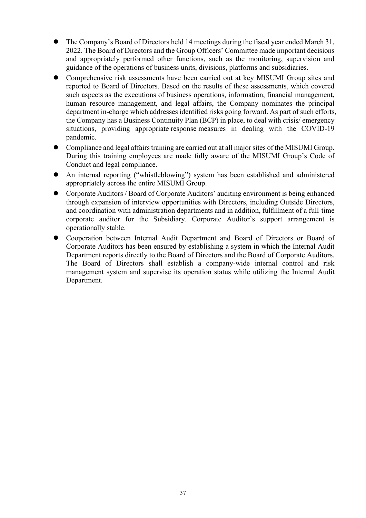- The Company's Board of Directors held 14 meetings during the fiscal year ended March 31, 2022. The Board of Directors and the Group Officers' Committee made important decisions and appropriately performed other functions, such as the monitoring, supervision and guidance of the operations of business units, divisions, platforms and subsidiaries.
- Comprehensive risk assessments have been carried out at key MISUMI Group sites and reported to Board of Directors. Based on the results of these assessments, which covered such aspects as the executions of business operations, information, financial management, human resource management, and legal affairs, the Company nominates the principal department in-charge which addresses identified risks going forward. As part of such efforts, the Company has a Business Continuity Plan (BCP) in place, to deal with crisis/ emergency situations, providing appropriate response measures in dealing with the COVID-19 pandemic.
- Compliance and legal affairs training are carried out at all major sites of the MISUMI Group. During this training employees are made fully aware of the MISUMI Group's Code of Conduct and legal compliance.
- An internal reporting ("whistleblowing") system has been established and administered appropriately across the entire MISUMI Group.
- Corporate Auditors / Board of Corporate Auditors' auditing environment is being enhanced through expansion of interview opportunities with Directors, including Outside Directors, and coordination with administration departments and in addition, fulfillment of a full-time corporate auditor for the Subsidiary. Corporate Auditor's support arrangement is operationally stable.
- Cooperation between Internal Audit Department and Board of Directors or Board of Corporate Auditors has been ensured by establishing a system in which the Internal Audit Department reports directly to the Board of Directors and the Board of Corporate Auditors. The Board of Directors shall establish a company-wide internal control and risk management system and supervise its operation status while utilizing the Internal Audit Department.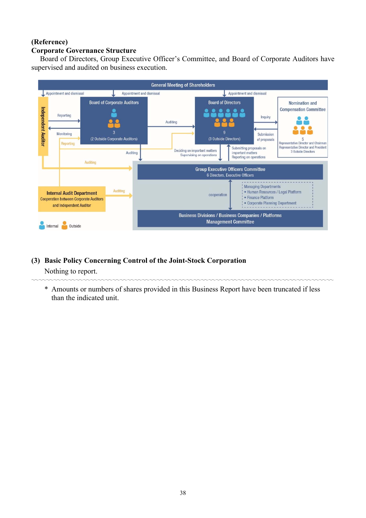## **(Reference) Corporate Governance Structure**

Board of Directors, Group Executive Officer's Committee, and Board of Corporate Auditors have supervised and audited on business execution.



## **(3) Basic Policy Concerning Control of the Joint-Stock Corporation**

Nothing to report.

\* Amounts or numbers of shares provided in this Business Report have been truncated if less than the indicated unit.

〰〰〰〰〰〰〰〰〰〰〰〰〰〰〰〰〰〰〰〰〰〰〰〰〰〰〰〰〰〰〰〰〰〰〰〰〰〰〰〰〰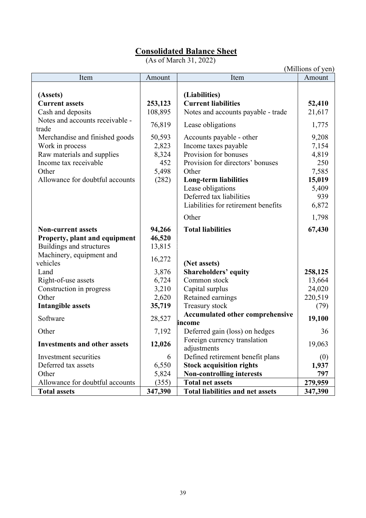# **Consolidated Balance Sheet**

(As of March 31, 2022)

|                                                                                                                                                                                       |                                                          |                                                                                                                                                                                     | (Millions of yen)                                        |
|---------------------------------------------------------------------------------------------------------------------------------------------------------------------------------------|----------------------------------------------------------|-------------------------------------------------------------------------------------------------------------------------------------------------------------------------------------|----------------------------------------------------------|
| Item                                                                                                                                                                                  | Amount                                                   | Item                                                                                                                                                                                | Amount                                                   |
| (Assets)<br><b>Current assets</b><br>Cash and deposits<br>Notes and accounts receivable -<br>trade<br>Merchandise and finished goods<br>Work in process<br>Raw materials and supplies | 253,123<br>108,895<br>76,819<br>50,593<br>2,823<br>8,324 | (Liabilities)<br><b>Current liabilities</b><br>Notes and accounts payable - trade<br>Lease obligations<br>Accounts payable - other<br>Income taxes payable<br>Provision for bonuses | 52,410<br>21,617<br>1,775<br>9,208<br>7,154<br>4,819     |
| Income tax receivable<br>Other<br>Allowance for doubtful accounts                                                                                                                     | 452<br>5,498<br>(282)                                    | Provision for directors' bonuses<br>Other<br><b>Long-term liabilities</b><br>Lease obligations<br>Deferred tax liabilities<br>Liabilities for retirement benefits<br>Other          | 250<br>7,585<br>15,019<br>5,409<br>939<br>6,872<br>1,798 |
| <b>Non-current assets</b><br>Property, plant and equipment<br>Buildings and structures<br>Machinery, equipment and<br>vehicles                                                        | 94,266<br>46,520<br>13,815<br>16,272                     | <b>Total liabilities</b><br>(Net assets)                                                                                                                                            | 67,430                                                   |
| Land<br>Right-of-use assets<br>Construction in progress<br>Other<br><b>Intangible assets</b>                                                                                          | 3,876<br>6,724<br>3,210<br>2,620<br>35,719               | <b>Shareholders' equity</b><br>Common stock<br>Capital surplus<br>Retained earnings<br>Treasury stock                                                                               | 258,125<br>13,664<br>24,020<br>220,519<br>(79)           |
| Software                                                                                                                                                                              | 28,527                                                   | <b>Accumulated other comprehensive</b>                                                                                                                                              | 19,100                                                   |
| Other                                                                                                                                                                                 | 7,192                                                    | income<br>Deferred gain (loss) on hedges                                                                                                                                            | 36                                                       |
| <b>Investments and other assets</b>                                                                                                                                                   | 12,026                                                   | Foreign currency translation<br>adjustments                                                                                                                                         | 19,063                                                   |
| Investment securities<br>Deferred tax assets<br>Other                                                                                                                                 | 6<br>6,550<br>5,824                                      | Defined retirement benefit plans<br><b>Stock acquisition rights</b><br><b>Non-controlling interests</b>                                                                             | (0)<br>1,937<br>797                                      |
| Allowance for doubtful accounts                                                                                                                                                       | (355)                                                    | <b>Total net assets</b>                                                                                                                                                             | 279,959                                                  |
| <b>Total assets</b>                                                                                                                                                                   | 347,390                                                  | <b>Total liabilities and net assets</b>                                                                                                                                             | 347,390                                                  |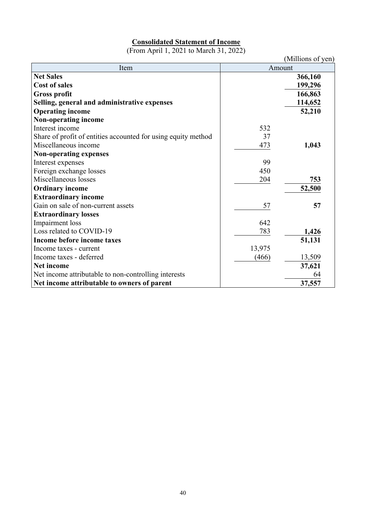## <sup>U</sup>**Consolidated Statement of Income**

(From April 1, 2021 to March 31, 2022)

|                                                               |        | (Millions of yen) |
|---------------------------------------------------------------|--------|-------------------|
| Item                                                          | Amount |                   |
| <b>Net Sales</b>                                              |        | 366,160           |
| <b>Cost of sales</b>                                          |        | 199,296           |
| <b>Gross profit</b>                                           |        | 166,863           |
| Selling, general and administrative expenses                  |        | 114,652           |
| <b>Operating income</b>                                       |        | 52,210            |
| <b>Non-operating income</b>                                   |        |                   |
| Interest income                                               | 532    |                   |
| Share of profit of entities accounted for using equity method | 37     |                   |
| Miscellaneous income                                          | 473    | 1,043             |
| <b>Non-operating expenses</b>                                 |        |                   |
| Interest expenses                                             | 99     |                   |
| Foreign exchange losses                                       | 450    |                   |
| Miscellaneous losses                                          | 204    | 753               |
| <b>Ordinary income</b>                                        |        | 52,500            |
| <b>Extraordinary income</b>                                   |        |                   |
| Gain on sale of non-current assets                            | 57     | 57                |
| <b>Extraordinary losses</b>                                   |        |                   |
| Impairment loss                                               | 642    |                   |
| Loss related to COVID-19                                      | 783    | 1,426             |
| Income before income taxes                                    |        | 51,131            |
| Income taxes - current                                        | 13,975 |                   |
| Income taxes - deferred                                       | (466)  | 13,509            |
| <b>Net income</b>                                             |        | 37,621            |
| Net income attributable to non-controlling interests          |        | 64                |
| Net income attributable to owners of parent                   |        | 37,557            |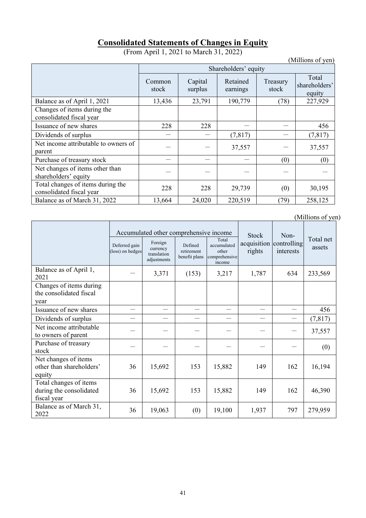# <sup>U</sup>**Consolidated Statements of Changes in Equity**

(From April 1, 2021 to March 31, 2022)

|                                                               |                      |                    |                      |                   | (Millions of yen)                |  |  |  |
|---------------------------------------------------------------|----------------------|--------------------|----------------------|-------------------|----------------------------------|--|--|--|
|                                                               | Shareholders' equity |                    |                      |                   |                                  |  |  |  |
|                                                               | Common<br>stock      | Capital<br>surplus | Retained<br>earnings | Treasury<br>stock | Total<br>shareholders'<br>equity |  |  |  |
| Balance as of April 1, 2021                                   | 13,436               | 23,791             | 190,779              | (78)              | 227,929                          |  |  |  |
| Changes of items during the<br>consolidated fiscal year       |                      |                    |                      |                   |                                  |  |  |  |
| Issuance of new shares                                        | 228                  | 228                |                      |                   | 456                              |  |  |  |
| Dividends of surplus                                          |                      |                    | (7, 817)             |                   | (7, 817)                         |  |  |  |
| Net income attributable to owners of<br>parent                |                      |                    | 37,557               |                   | 37,557                           |  |  |  |
| Purchase of treasury stock                                    |                      |                    |                      | (0)               | (0)                              |  |  |  |
| Net changes of items other than<br>shareholders' equity       |                      |                    |                      |                   |                                  |  |  |  |
| Total changes of items during the<br>consolidated fiscal year | 228                  | 228                | 29,739               | (0)               | 30,195                           |  |  |  |
| Balance as of March 31, 2022                                  | 13,664               | 24,020             | 220,519              | (79)              | 258,125                          |  |  |  |

(Millions of yen)

|                                                                  |                                   | Accumulated other comprehensive income            |                                        |                                                          | <b>Stock</b>                      | Non-      |                     |
|------------------------------------------------------------------|-----------------------------------|---------------------------------------------------|----------------------------------------|----------------------------------------------------------|-----------------------------------|-----------|---------------------|
|                                                                  | Deferred gain<br>(loss) on hedges | Foreign<br>currency<br>translation<br>adjustments | Defined<br>retirement<br>benefit plans | Total<br>accumulated<br>other<br>comprehensive<br>income | acquisition controlling<br>rights | interests | Total net<br>assets |
| Balance as of April 1,<br>2021                                   |                                   | 3,371                                             | (153)                                  | 3,217                                                    | 1,787                             | 634       | 233,569             |
| Changes of items during<br>the consolidated fiscal<br>year       |                                   |                                                   |                                        |                                                          |                                   |           |                     |
| Issuance of new shares                                           |                                   |                                                   |                                        |                                                          |                                   |           | 456                 |
| Dividends of surplus                                             |                                   |                                                   |                                        |                                                          |                                   |           | (7, 817)            |
| Net income attributable<br>to owners of parent                   |                                   |                                                   |                                        |                                                          |                                   |           | 37,557              |
| Purchase of treasury<br>stock                                    |                                   |                                                   |                                        |                                                          |                                   |           | (0)                 |
| Net changes of items<br>other than shareholders'<br>equity       | 36                                | 15,692                                            | 153                                    | 15,882                                                   | 149                               | 162       | 16,194              |
| Total changes of items<br>during the consolidated<br>fiscal year | 36                                | 15,692                                            | 153                                    | 15,882                                                   | 149                               | 162       | 46,390              |
| Balance as of March 31,<br>2022                                  | 36                                | 19,063                                            | (0)                                    | 19,100                                                   | 1,937                             | 797       | 279,959             |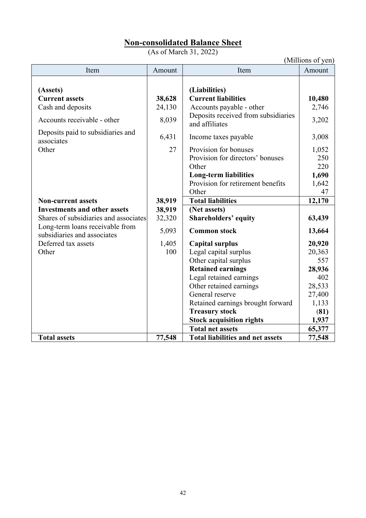# <sup>U</sup>**Non-consolidated Balance Sheet**

(As of March 31, 2022)

|                                                                                       |                           |                                                                                                                                                  | (Millions of yen)                           |
|---------------------------------------------------------------------------------------|---------------------------|--------------------------------------------------------------------------------------------------------------------------------------------------|---------------------------------------------|
| Item                                                                                  | Amount                    | Item                                                                                                                                             | Amount                                      |
| (Assets)<br><b>Current assets</b><br>Cash and deposits<br>Accounts receivable - other | 38,628<br>24,130<br>8,039 | (Liabilities)<br><b>Current liabilities</b><br>Accounts payable - other<br>Deposits received from subsidiaries<br>and affiliates                 | 10,480<br>2,746<br>3,202                    |
| Deposits paid to subsidiaries and<br>associates                                       | 6,431                     | Income taxes payable                                                                                                                             | 3,008                                       |
| Other                                                                                 | 27                        | Provision for bonuses<br>Provision for directors' bonuses<br>Other<br><b>Long-term liabilities</b><br>Provision for retirement benefits<br>Other | 1,052<br>250<br>220<br>1,690<br>1,642<br>47 |
| <b>Non-current assets</b>                                                             | 38,919                    | <b>Total liabilities</b>                                                                                                                         | 12,170                                      |
| <b>Investments and other assets</b>                                                   | 38,919                    | (Net assets)                                                                                                                                     |                                             |
| Shares of subsidiaries and associates                                                 | 32,320                    | <b>Shareholders' equity</b>                                                                                                                      | 63,439                                      |
| Long-term loans receivable from<br>subsidiaries and associates                        | 5,093                     | <b>Common stock</b>                                                                                                                              | 13,664                                      |
| Deferred tax assets                                                                   | 1,405                     | <b>Capital surplus</b>                                                                                                                           | 20,920                                      |
| Other                                                                                 | 100                       | Legal capital surplus                                                                                                                            | 20,363                                      |
|                                                                                       |                           | Other capital surplus                                                                                                                            | 557                                         |
|                                                                                       |                           | <b>Retained earnings</b>                                                                                                                         | 28,936                                      |
|                                                                                       |                           | Legal retained earnings                                                                                                                          | 402                                         |
|                                                                                       |                           | Other retained earnings                                                                                                                          | 28,533                                      |
|                                                                                       |                           | General reserve                                                                                                                                  | 27,400                                      |
|                                                                                       |                           | Retained earnings brought forward                                                                                                                | 1,133                                       |
|                                                                                       |                           | <b>Treasury stock</b>                                                                                                                            | (81)                                        |
|                                                                                       |                           | <b>Stock acquisition rights</b>                                                                                                                  | 1,937                                       |
|                                                                                       |                           | <b>Total net assets</b>                                                                                                                          | 65,377                                      |
| <b>Total assets</b>                                                                   | 77,548                    | <b>Total liabilities and net assets</b>                                                                                                          | 77,548                                      |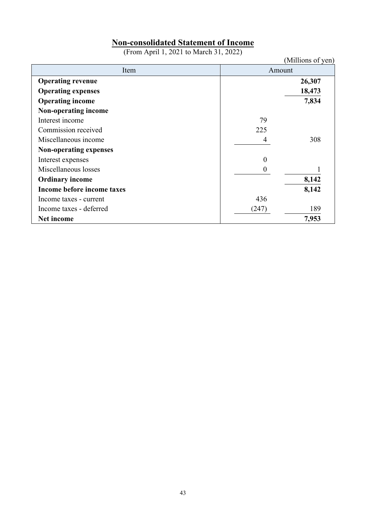# <sup>U</sup>**Non-consolidated Statement of Income**

(From April 1, 2021 to March 31, 2022)

|                               |                  | (Millions of yen) |
|-------------------------------|------------------|-------------------|
| Item                          | Amount           |                   |
| <b>Operating revenue</b>      |                  | 26,307            |
| <b>Operating expenses</b>     |                  | 18,473            |
| <b>Operating income</b>       |                  | 7,834             |
| Non-operating income          |                  |                   |
| Interest income               | 79               |                   |
| Commission received           | 225              |                   |
| Miscellaneous income          | 4                | 308               |
| <b>Non-operating expenses</b> |                  |                   |
| Interest expenses             | 0                |                   |
| Miscellaneous losses          | $\boldsymbol{0}$ |                   |
| <b>Ordinary income</b>        |                  | 8,142             |
| Income before income taxes    |                  | 8,142             |
| Income taxes - current        | 436              |                   |
| Income taxes - deferred       | (247)            | 189               |
| Net income                    |                  | 7,953             |